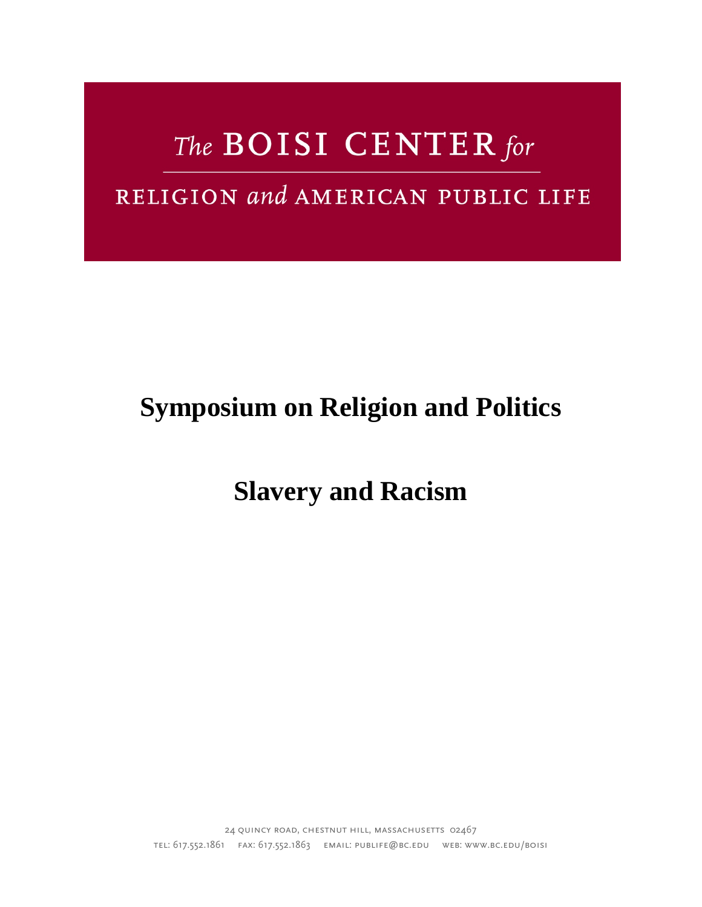# The BOISI CENTER for

## RELIGION and AMERICAN PUBLIC LIFE

## **Symposium on Religion and Politics**

## **Slavery and Racism**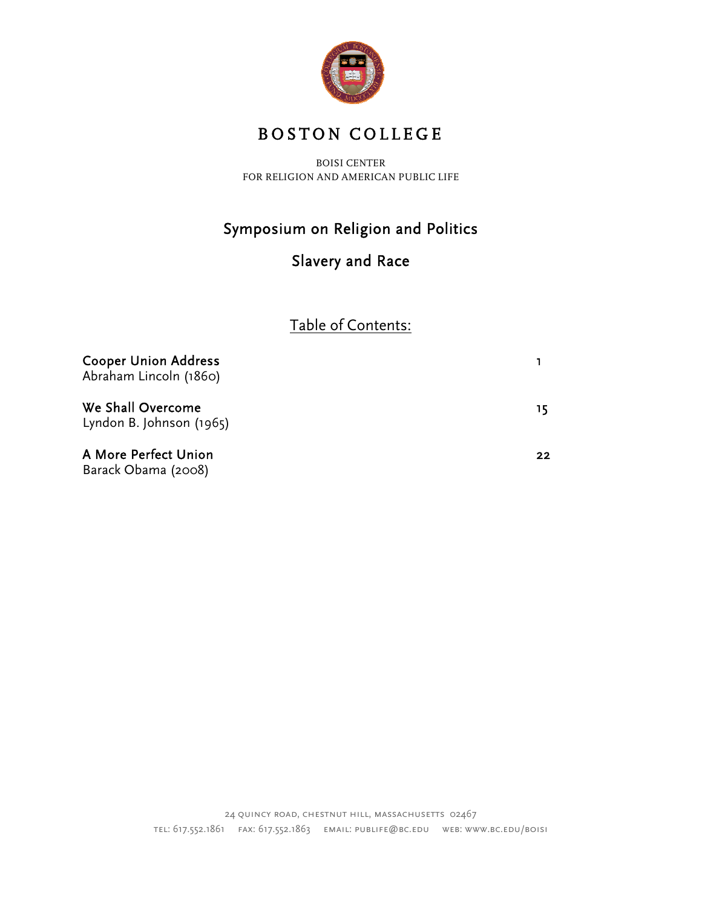

## BOSTON COLLEGE

BOISI CENTER FOR RELIGION AND AMERICAN PUBLIC LIFE

## Symposium on Religion and Politics

## Slavery and Race

## Table of Contents:

| <b>Cooper Union Address</b><br>Abraham Lincoln (1860) |     |
|-------------------------------------------------------|-----|
| We Shall Overcome<br>Lyndon B. Johnson (1965)         | 15. |
| A More Perfect Union<br>Barack Obama (2008)           | 22  |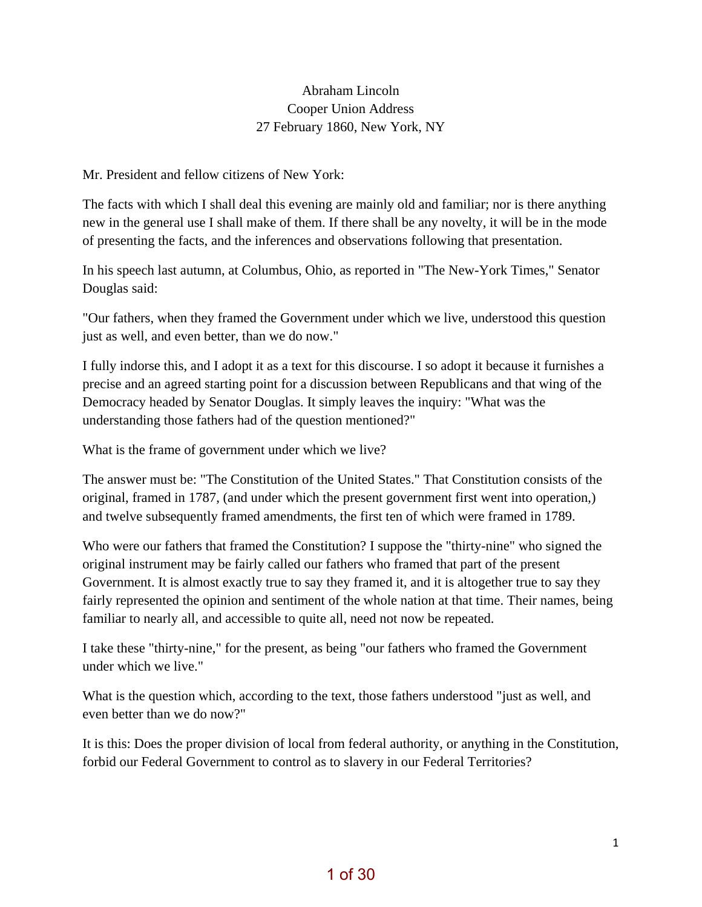#### Abraham Lincoln Cooper Union Address 27 February 1860, New York, NY

Mr. President and fellow citizens of New York:

The facts with which I shall deal this evening are mainly old and familiar; nor is there anything new in the general use I shall make of them. If there shall be any novelty, it will be in the mode of presenting the facts, and the inferences and observations following that presentation.

In his speech last autumn, at Columbus, Ohio, as reported in "The New-York Times," Senator Douglas said:

"Our fathers, when they framed the Government under which we live, understood this question just as well, and even better, than we do now."

I fully indorse this, and I adopt it as a text for this discourse. I so adopt it because it furnishes a precise and an agreed starting point for a discussion between Republicans and that wing of the Democracy headed by Senator Douglas. It simply leaves the inquiry: "What was the understanding those fathers had of the question mentioned?"

What is the frame of government under which we live?

The answer must be: "The Constitution of the United States." That Constitution consists of the original, framed in 1787, (and under which the present government first went into operation,) and twelve subsequently framed amendments, the first ten of which were framed in 1789.

Who were our fathers that framed the Constitution? I suppose the "thirty-nine" who signed the original instrument may be fairly called our fathers who framed that part of the present Government. It is almost exactly true to say they framed it, and it is altogether true to say they fairly represented the opinion and sentiment of the whole nation at that time. Their names, being familiar to nearly all, and accessible to quite all, need not now be repeated.

I take these "thirty-nine," for the present, as being "our fathers who framed the Government under which we live."

What is the question which, according to the text, those fathers understood "just as well, and even better than we do now?"

It is this: Does the proper division of local from federal authority, or anything in the Constitution, forbid our Federal Government to control as to slavery in our Federal Territories?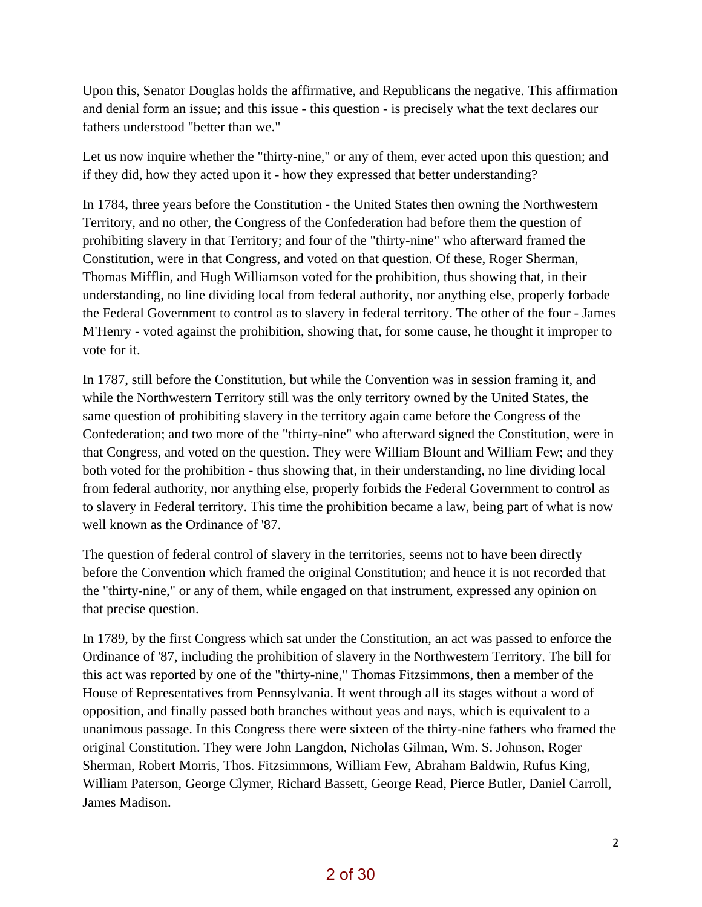Upon this, Senator Douglas holds the affirmative, and Republicans the negative. This affirmation and denial form an issue; and this issue - this question - is precisely what the text declares our fathers understood "better than we."

Let us now inquire whether the "thirty-nine," or any of them, ever acted upon this question; and if they did, how they acted upon it - how they expressed that better understanding?

In 1784, three years before the Constitution - the United States then owning the Northwestern Territory, and no other, the Congress of the Confederation had before them the question of prohibiting slavery in that Territory; and four of the "thirty-nine" who afterward framed the Constitution, were in that Congress, and voted on that question. Of these, Roger Sherman, Thomas Mifflin, and Hugh Williamson voted for the prohibition, thus showing that, in their understanding, no line dividing local from federal authority, nor anything else, properly forbade the Federal Government to control as to slavery in federal territory. The other of the four - James M'Henry - voted against the prohibition, showing that, for some cause, he thought it improper to vote for it.

In 1787, still before the Constitution, but while the Convention was in session framing it, and while the Northwestern Territory still was the only territory owned by the United States, the same question of prohibiting slavery in the territory again came before the Congress of the Confederation; and two more of the "thirty-nine" who afterward signed the Constitution, were in that Congress, and voted on the question. They were William Blount and William Few; and they both voted for the prohibition - thus showing that, in their understanding, no line dividing local from federal authority, nor anything else, properly forbids the Federal Government to control as to slavery in Federal territory. This time the prohibition became a law, being part of what is now well known as the Ordinance of '87.

The question of federal control of slavery in the territories, seems not to have been directly before the Convention which framed the original Constitution; and hence it is not recorded that the "thirty-nine," or any of them, while engaged on that instrument, expressed any opinion on that precise question.

In 1789, by the first Congress which sat under the Constitution, an act was passed to enforce the Ordinance of '87, including the prohibition of slavery in the Northwestern Territory. The bill for this act was reported by one of the "thirty-nine," Thomas Fitzsimmons, then a member of the House of Representatives from Pennsylvania. It went through all its stages without a word of opposition, and finally passed both branches without yeas and nays, which is equivalent to a unanimous passage. In this Congress there were sixteen of the thirty-nine fathers who framed the original Constitution. They were John Langdon, Nicholas Gilman, Wm. S. Johnson, Roger Sherman, Robert Morris, Thos. Fitzsimmons, William Few, Abraham Baldwin, Rufus King, William Paterson, George Clymer, Richard Bassett, George Read, Pierce Butler, Daniel Carroll, James Madison.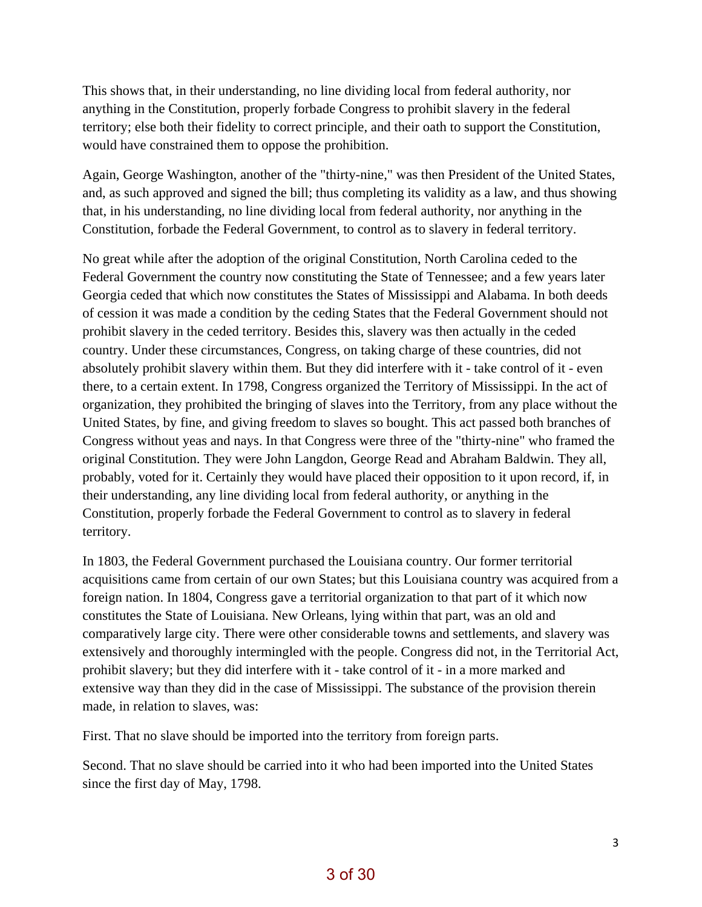This shows that, in their understanding, no line dividing local from federal authority, nor anything in the Constitution, properly forbade Congress to prohibit slavery in the federal territory; else both their fidelity to correct principle, and their oath to support the Constitution, would have constrained them to oppose the prohibition.

Again, George Washington, another of the "thirty-nine," was then President of the United States, and, as such approved and signed the bill; thus completing its validity as a law, and thus showing that, in his understanding, no line dividing local from federal authority, nor anything in the Constitution, forbade the Federal Government, to control as to slavery in federal territory.

No great while after the adoption of the original Constitution, North Carolina ceded to the Federal Government the country now constituting the State of Tennessee; and a few years later Georgia ceded that which now constitutes the States of Mississippi and Alabama. In both deeds of cession it was made a condition by the ceding States that the Federal Government should not prohibit slavery in the ceded territory. Besides this, slavery was then actually in the ceded country. Under these circumstances, Congress, on taking charge of these countries, did not absolutely prohibit slavery within them. But they did interfere with it - take control of it - even there, to a certain extent. In 1798, Congress organized the Territory of Mississippi. In the act of organization, they prohibited the bringing of slaves into the Territory, from any place without the United States, by fine, and giving freedom to slaves so bought. This act passed both branches of Congress without yeas and nays. In that Congress were three of the "thirty-nine" who framed the original Constitution. They were John Langdon, George Read and Abraham Baldwin. They all, probably, voted for it. Certainly they would have placed their opposition to it upon record, if, in their understanding, any line dividing local from federal authority, or anything in the Constitution, properly forbade the Federal Government to control as to slavery in federal territory.

In 1803, the Federal Government purchased the Louisiana country. Our former territorial acquisitions came from certain of our own States; but this Louisiana country was acquired from a foreign nation. In 1804, Congress gave a territorial organization to that part of it which now constitutes the State of Louisiana. New Orleans, lying within that part, was an old and comparatively large city. There were other considerable towns and settlements, and slavery was extensively and thoroughly intermingled with the people. Congress did not, in the Territorial Act, prohibit slavery; but they did interfere with it - take control of it - in a more marked and extensive way than they did in the case of Mississippi. The substance of the provision therein made, in relation to slaves, was:

First. That no slave should be imported into the territory from foreign parts.

Second. That no slave should be carried into it who had been imported into the United States since the first day of May, 1798.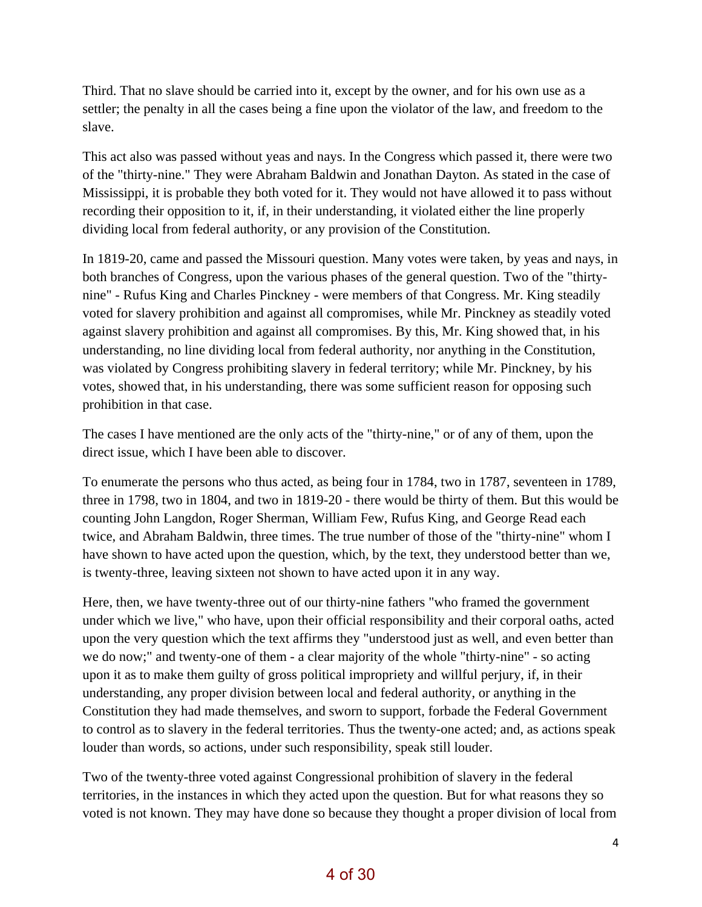Third. That no slave should be carried into it, except by the owner, and for his own use as a settler; the penalty in all the cases being a fine upon the violator of the law, and freedom to the slave.

This act also was passed without yeas and nays. In the Congress which passed it, there were two of the "thirty-nine." They were Abraham Baldwin and Jonathan Dayton. As stated in the case of Mississippi, it is probable they both voted for it. They would not have allowed it to pass without recording their opposition to it, if, in their understanding, it violated either the line properly dividing local from federal authority, or any provision of the Constitution.

In 1819-20, came and passed the Missouri question. Many votes were taken, by yeas and nays, in both branches of Congress, upon the various phases of the general question. Two of the "thirtynine" - Rufus King and Charles Pinckney - were members of that Congress. Mr. King steadily voted for slavery prohibition and against all compromises, while Mr. Pinckney as steadily voted against slavery prohibition and against all compromises. By this, Mr. King showed that, in his understanding, no line dividing local from federal authority, nor anything in the Constitution, was violated by Congress prohibiting slavery in federal territory; while Mr. Pinckney, by his votes, showed that, in his understanding, there was some sufficient reason for opposing such prohibition in that case.

The cases I have mentioned are the only acts of the "thirty-nine," or of any of them, upon the direct issue, which I have been able to discover.

To enumerate the persons who thus acted, as being four in 1784, two in 1787, seventeen in 1789, three in 1798, two in 1804, and two in 1819-20 - there would be thirty of them. But this would be counting John Langdon, Roger Sherman, William Few, Rufus King, and George Read each twice, and Abraham Baldwin, three times. The true number of those of the "thirty-nine" whom I have shown to have acted upon the question, which, by the text, they understood better than we, is twenty-three, leaving sixteen not shown to have acted upon it in any way.

Here, then, we have twenty-three out of our thirty-nine fathers "who framed the government under which we live," who have, upon their official responsibility and their corporal oaths, acted upon the very question which the text affirms they "understood just as well, and even better than we do now;" and twenty-one of them - a clear majority of the whole "thirty-nine" - so acting upon it as to make them guilty of gross political impropriety and willful perjury, if, in their understanding, any proper division between local and federal authority, or anything in the Constitution they had made themselves, and sworn to support, forbade the Federal Government to control as to slavery in the federal territories. Thus the twenty-one acted; and, as actions speak louder than words, so actions, under such responsibility, speak still louder.

Two of the twenty-three voted against Congressional prohibition of slavery in the federal territories, in the instances in which they acted upon the question. But for what reasons they so voted is not known. They may have done so because they thought a proper division of local from

#### 4 of 30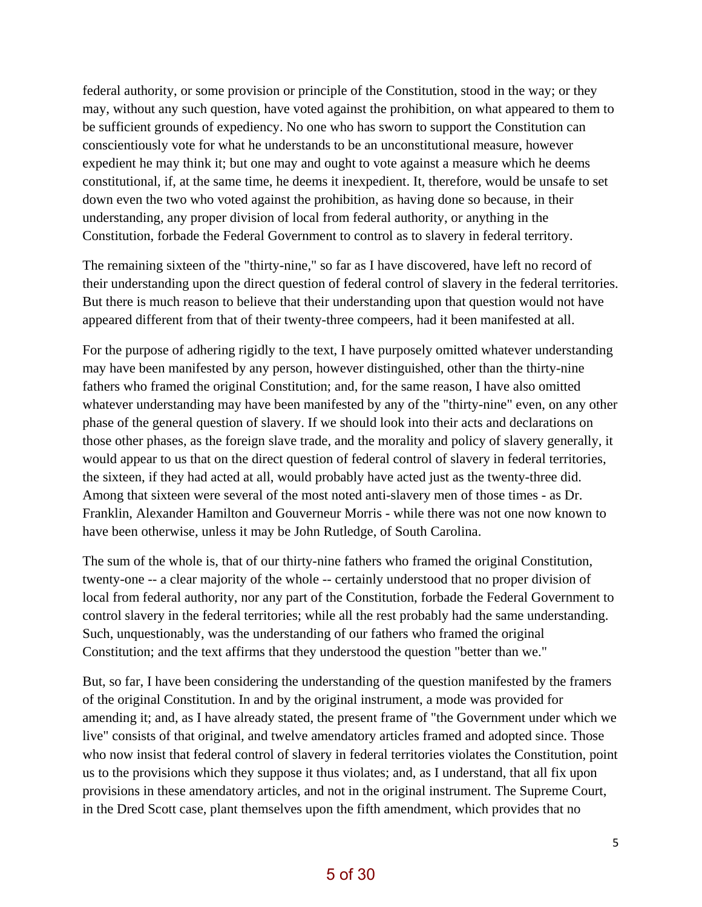federal authority, or some provision or principle of the Constitution, stood in the way; or they may, without any such question, have voted against the prohibition, on what appeared to them to be sufficient grounds of expediency. No one who has sworn to support the Constitution can conscientiously vote for what he understands to be an unconstitutional measure, however expedient he may think it; but one may and ought to vote against a measure which he deems constitutional, if, at the same time, he deems it inexpedient. It, therefore, would be unsafe to set down even the two who voted against the prohibition, as having done so because, in their understanding, any proper division of local from federal authority, or anything in the Constitution, forbade the Federal Government to control as to slavery in federal territory.

The remaining sixteen of the "thirty-nine," so far as I have discovered, have left no record of their understanding upon the direct question of federal control of slavery in the federal territories. But there is much reason to believe that their understanding upon that question would not have appeared different from that of their twenty-three compeers, had it been manifested at all.

For the purpose of adhering rigidly to the text, I have purposely omitted whatever understanding may have been manifested by any person, however distinguished, other than the thirty-nine fathers who framed the original Constitution; and, for the same reason, I have also omitted whatever understanding may have been manifested by any of the "thirty-nine" even, on any other phase of the general question of slavery. If we should look into their acts and declarations on those other phases, as the foreign slave trade, and the morality and policy of slavery generally, it would appear to us that on the direct question of federal control of slavery in federal territories, the sixteen, if they had acted at all, would probably have acted just as the twenty-three did. Among that sixteen were several of the most noted anti-slavery men of those times - as Dr. Franklin, Alexander Hamilton and Gouverneur Morris - while there was not one now known to have been otherwise, unless it may be John Rutledge, of South Carolina.

The sum of the whole is, that of our thirty-nine fathers who framed the original Constitution, twenty-one -- a clear majority of the whole -- certainly understood that no proper division of local from federal authority, nor any part of the Constitution, forbade the Federal Government to control slavery in the federal territories; while all the rest probably had the same understanding. Such, unquestionably, was the understanding of our fathers who framed the original Constitution; and the text affirms that they understood the question "better than we."

But, so far, I have been considering the understanding of the question manifested by the framers of the original Constitution. In and by the original instrument, a mode was provided for amending it; and, as I have already stated, the present frame of "the Government under which we live" consists of that original, and twelve amendatory articles framed and adopted since. Those who now insist that federal control of slavery in federal territories violates the Constitution, point us to the provisions which they suppose it thus violates; and, as I understand, that all fix upon provisions in these amendatory articles, and not in the original instrument. The Supreme Court, in the Dred Scott case, plant themselves upon the fifth amendment, which provides that no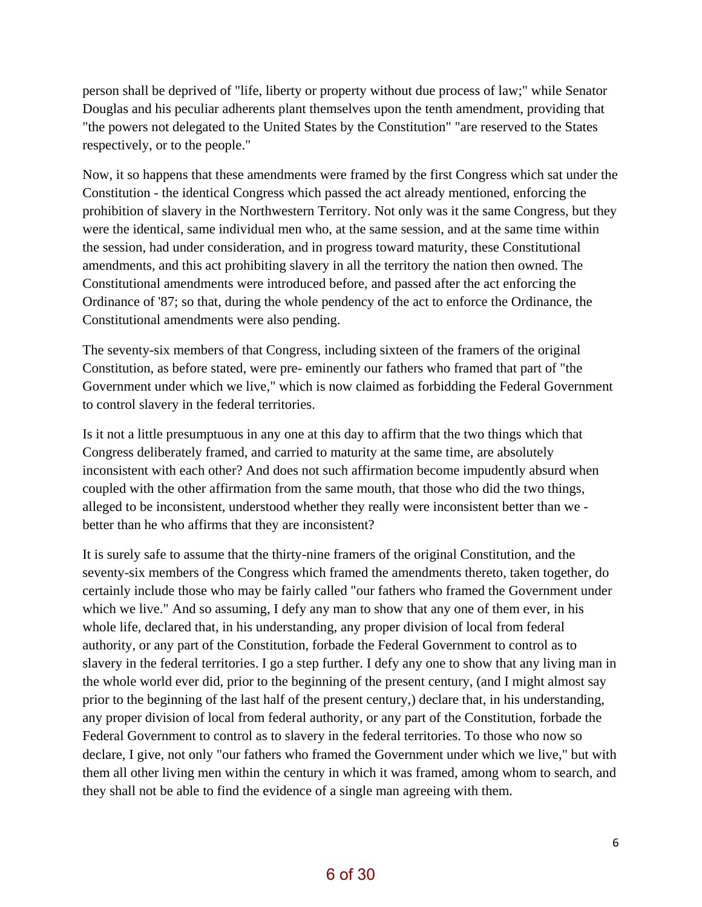person shall be deprived of "life, liberty or property without due process of law;" while Senator Douglas and his peculiar adherents plant themselves upon the tenth amendment, providing that "the powers not delegated to the United States by the Constitution" "are reserved to the States respectively, or to the people."

Now, it so happens that these amendments were framed by the first Congress which sat under the Constitution - the identical Congress which passed the act already mentioned, enforcing the prohibition of slavery in the Northwestern Territory. Not only was it the same Congress, but they were the identical, same individual men who, at the same session, and at the same time within the session, had under consideration, and in progress toward maturity, these Constitutional amendments, and this act prohibiting slavery in all the territory the nation then owned. The Constitutional amendments were introduced before, and passed after the act enforcing the Ordinance of '87; so that, during the whole pendency of the act to enforce the Ordinance, the Constitutional amendments were also pending.

The seventy-six members of that Congress, including sixteen of the framers of the original Constitution, as before stated, were pre- eminently our fathers who framed that part of "the Government under which we live," which is now claimed as forbidding the Federal Government to control slavery in the federal territories.

Is it not a little presumptuous in any one at this day to affirm that the two things which that Congress deliberately framed, and carried to maturity at the same time, are absolutely inconsistent with each other? And does not such affirmation become impudently absurd when coupled with the other affirmation from the same mouth, that those who did the two things, alleged to be inconsistent, understood whether they really were inconsistent better than we better than he who affirms that they are inconsistent?

It is surely safe to assume that the thirty-nine framers of the original Constitution, and the seventy-six members of the Congress which framed the amendments thereto, taken together, do certainly include those who may be fairly called "our fathers who framed the Government under which we live." And so assuming, I defy any man to show that any one of them ever, in his whole life, declared that, in his understanding, any proper division of local from federal authority, or any part of the Constitution, forbade the Federal Government to control as to slavery in the federal territories. I go a step further. I defy any one to show that any living man in the whole world ever did, prior to the beginning of the present century, (and I might almost say prior to the beginning of the last half of the present century,) declare that, in his understanding, any proper division of local from federal authority, or any part of the Constitution, forbade the Federal Government to control as to slavery in the federal territories. To those who now so declare, I give, not only "our fathers who framed the Government under which we live," but with them all other living men within the century in which it was framed, among whom to search, and they shall not be able to find the evidence of a single man agreeing with them.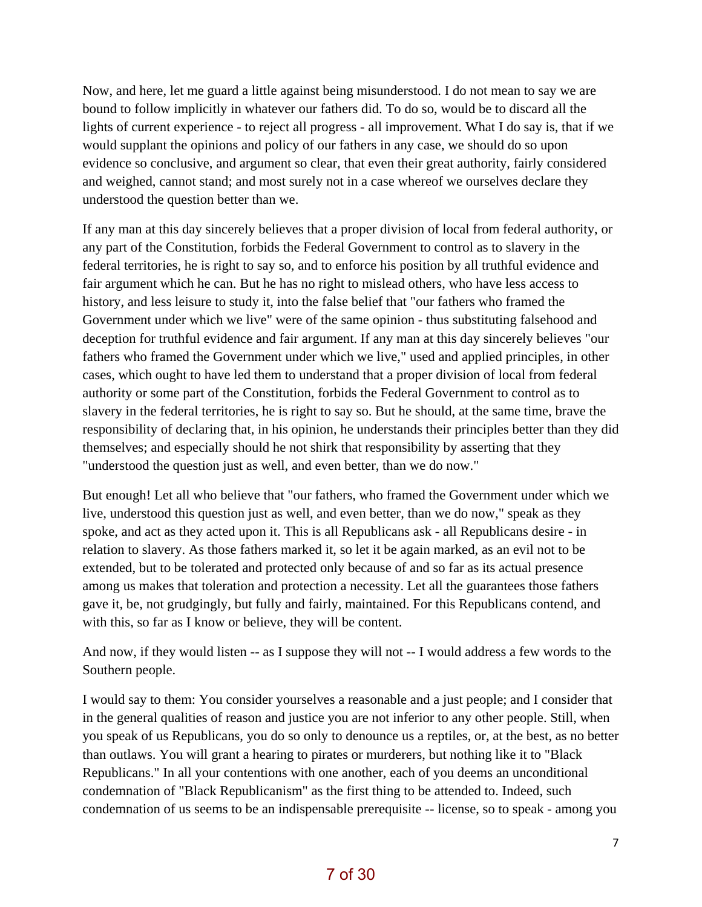Now, and here, let me guard a little against being misunderstood. I do not mean to say we are bound to follow implicitly in whatever our fathers did. To do so, would be to discard all the lights of current experience - to reject all progress - all improvement. What I do say is, that if we would supplant the opinions and policy of our fathers in any case, we should do so upon evidence so conclusive, and argument so clear, that even their great authority, fairly considered and weighed, cannot stand; and most surely not in a case whereof we ourselves declare they understood the question better than we.

If any man at this day sincerely believes that a proper division of local from federal authority, or any part of the Constitution, forbids the Federal Government to control as to slavery in the federal territories, he is right to say so, and to enforce his position by all truthful evidence and fair argument which he can. But he has no right to mislead others, who have less access to history, and less leisure to study it, into the false belief that "our fathers who framed the Government under which we live" were of the same opinion - thus substituting falsehood and deception for truthful evidence and fair argument. If any man at this day sincerely believes "our fathers who framed the Government under which we live," used and applied principles, in other cases, which ought to have led them to understand that a proper division of local from federal authority or some part of the Constitution, forbids the Federal Government to control as to slavery in the federal territories, he is right to say so. But he should, at the same time, brave the responsibility of declaring that, in his opinion, he understands their principles better than they did themselves; and especially should he not shirk that responsibility by asserting that they "understood the question just as well, and even better, than we do now."

But enough! Let all who believe that "our fathers, who framed the Government under which we live, understood this question just as well, and even better, than we do now," speak as they spoke, and act as they acted upon it. This is all Republicans ask - all Republicans desire - in relation to slavery. As those fathers marked it, so let it be again marked, as an evil not to be extended, but to be tolerated and protected only because of and so far as its actual presence among us makes that toleration and protection a necessity. Let all the guarantees those fathers gave it, be, not grudgingly, but fully and fairly, maintained. For this Republicans contend, and with this, so far as I know or believe, they will be content.

And now, if they would listen -- as I suppose they will not -- I would address a few words to the Southern people.

I would say to them: You consider yourselves a reasonable and a just people; and I consider that in the general qualities of reason and justice you are not inferior to any other people. Still, when you speak of us Republicans, you do so only to denounce us a reptiles, or, at the best, as no better than outlaws. You will grant a hearing to pirates or murderers, but nothing like it to "Black Republicans." In all your contentions with one another, each of you deems an unconditional condemnation of "Black Republicanism" as the first thing to be attended to. Indeed, such condemnation of us seems to be an indispensable prerequisite -- license, so to speak - among you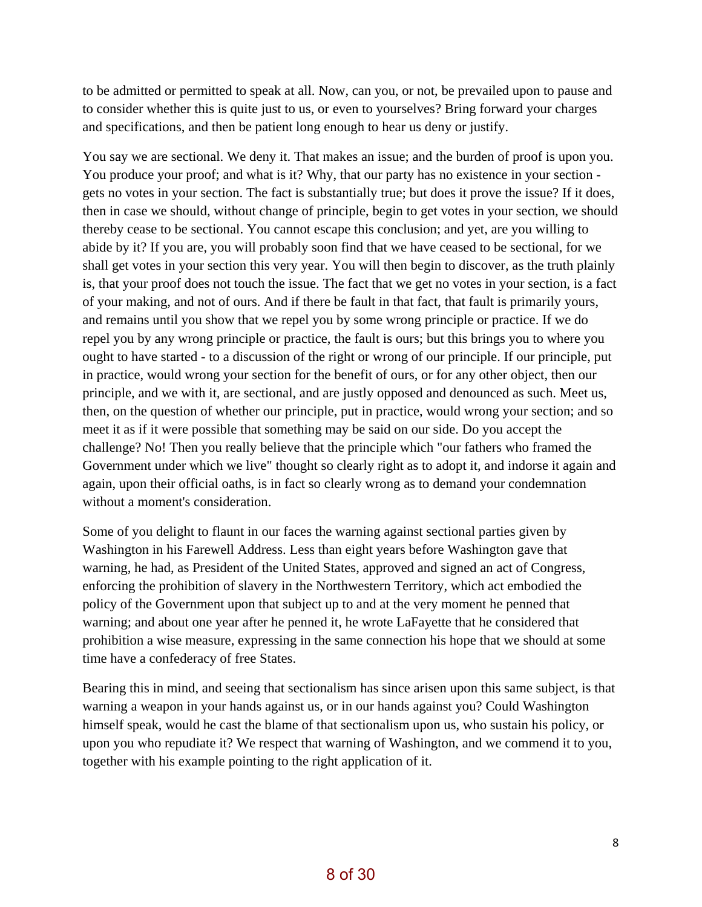to be admitted or permitted to speak at all. Now, can you, or not, be prevailed upon to pause and to consider whether this is quite just to us, or even to yourselves? Bring forward your charges and specifications, and then be patient long enough to hear us deny or justify.

You say we are sectional. We deny it. That makes an issue; and the burden of proof is upon you. You produce your proof; and what is it? Why, that our party has no existence in your section gets no votes in your section. The fact is substantially true; but does it prove the issue? If it does, then in case we should, without change of principle, begin to get votes in your section, we should thereby cease to be sectional. You cannot escape this conclusion; and yet, are you willing to abide by it? If you are, you will probably soon find that we have ceased to be sectional, for we shall get votes in your section this very year. You will then begin to discover, as the truth plainly is, that your proof does not touch the issue. The fact that we get no votes in your section, is a fact of your making, and not of ours. And if there be fault in that fact, that fault is primarily yours, and remains until you show that we repel you by some wrong principle or practice. If we do repel you by any wrong principle or practice, the fault is ours; but this brings you to where you ought to have started - to a discussion of the right or wrong of our principle. If our principle, put in practice, would wrong your section for the benefit of ours, or for any other object, then our principle, and we with it, are sectional, and are justly opposed and denounced as such. Meet us, then, on the question of whether our principle, put in practice, would wrong your section; and so meet it as if it were possible that something may be said on our side. Do you accept the challenge? No! Then you really believe that the principle which "our fathers who framed the Government under which we live" thought so clearly right as to adopt it, and indorse it again and again, upon their official oaths, is in fact so clearly wrong as to demand your condemnation without a moment's consideration.

Some of you delight to flaunt in our faces the warning against sectional parties given by Washington in his Farewell Address. Less than eight years before Washington gave that warning, he had, as President of the United States, approved and signed an act of Congress, enforcing the prohibition of slavery in the Northwestern Territory, which act embodied the policy of the Government upon that subject up to and at the very moment he penned that warning; and about one year after he penned it, he wrote LaFayette that he considered that prohibition a wise measure, expressing in the same connection his hope that we should at some time have a confederacy of free States.

Bearing this in mind, and seeing that sectionalism has since arisen upon this same subject, is that warning a weapon in your hands against us, or in our hands against you? Could Washington himself speak, would he cast the blame of that sectionalism upon us, who sustain his policy, or upon you who repudiate it? We respect that warning of Washington, and we commend it to you, together with his example pointing to the right application of it.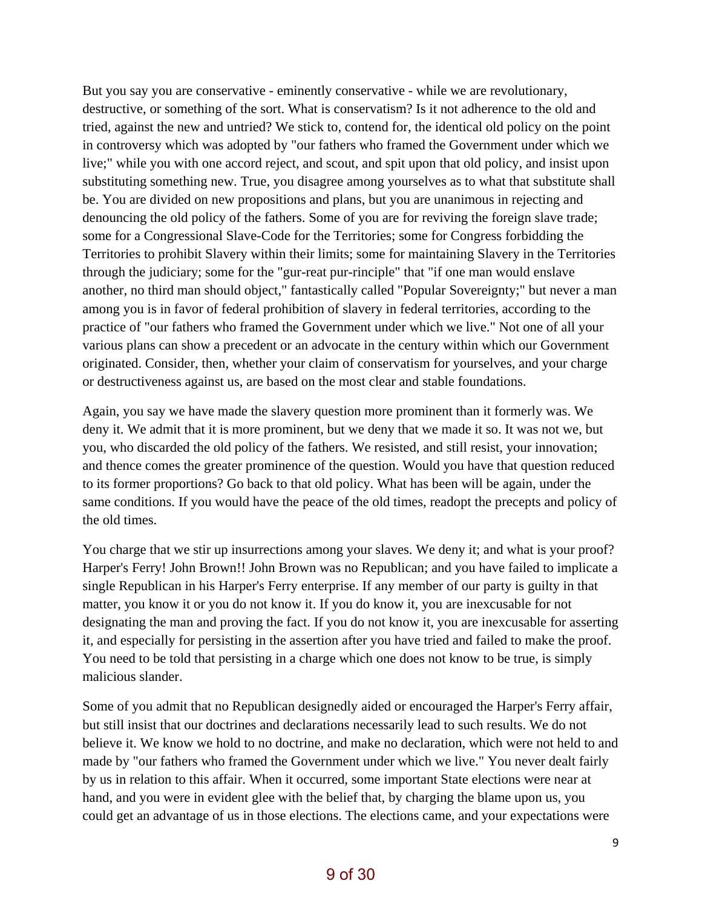But you say you are conservative - eminently conservative - while we are revolutionary, destructive, or something of the sort. What is conservatism? Is it not adherence to the old and tried, against the new and untried? We stick to, contend for, the identical old policy on the point in controversy which was adopted by "our fathers who framed the Government under which we live;" while you with one accord reject, and scout, and spit upon that old policy, and insist upon substituting something new. True, you disagree among yourselves as to what that substitute shall be. You are divided on new propositions and plans, but you are unanimous in rejecting and denouncing the old policy of the fathers. Some of you are for reviving the foreign slave trade; some for a Congressional Slave-Code for the Territories; some for Congress forbidding the Territories to prohibit Slavery within their limits; some for maintaining Slavery in the Territories through the judiciary; some for the "gur-reat pur-rinciple" that "if one man would enslave another, no third man should object," fantastically called "Popular Sovereignty;" but never a man among you is in favor of federal prohibition of slavery in federal territories, according to the practice of "our fathers who framed the Government under which we live." Not one of all your various plans can show a precedent or an advocate in the century within which our Government originated. Consider, then, whether your claim of conservatism for yourselves, and your charge or destructiveness against us, are based on the most clear and stable foundations.

Again, you say we have made the slavery question more prominent than it formerly was. We deny it. We admit that it is more prominent, but we deny that we made it so. It was not we, but you, who discarded the old policy of the fathers. We resisted, and still resist, your innovation; and thence comes the greater prominence of the question. Would you have that question reduced to its former proportions? Go back to that old policy. What has been will be again, under the same conditions. If you would have the peace of the old times, readopt the precepts and policy of the old times.

You charge that we stir up insurrections among your slaves. We deny it; and what is your proof? Harper's Ferry! John Brown!! John Brown was no Republican; and you have failed to implicate a single Republican in his Harper's Ferry enterprise. If any member of our party is guilty in that matter, you know it or you do not know it. If you do know it, you are inexcusable for not designating the man and proving the fact. If you do not know it, you are inexcusable for asserting it, and especially for persisting in the assertion after you have tried and failed to make the proof. You need to be told that persisting in a charge which one does not know to be true, is simply malicious slander.

Some of you admit that no Republican designedly aided or encouraged the Harper's Ferry affair, but still insist that our doctrines and declarations necessarily lead to such results. We do not believe it. We know we hold to no doctrine, and make no declaration, which were not held to and made by "our fathers who framed the Government under which we live." You never dealt fairly by us in relation to this affair. When it occurred, some important State elections were near at hand, and you were in evident glee with the belief that, by charging the blame upon us, you could get an advantage of us in those elections. The elections came, and your expectations were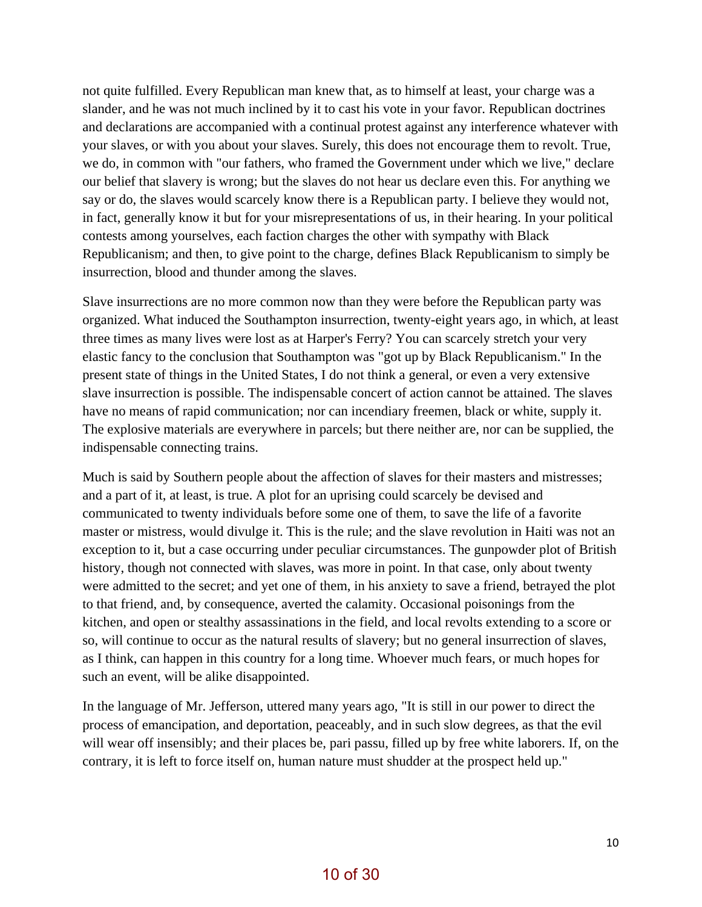not quite fulfilled. Every Republican man knew that, as to himself at least, your charge was a slander, and he was not much inclined by it to cast his vote in your favor. Republican doctrines and declarations are accompanied with a continual protest against any interference whatever with your slaves, or with you about your slaves. Surely, this does not encourage them to revolt. True, we do, in common with "our fathers, who framed the Government under which we live," declare our belief that slavery is wrong; but the slaves do not hear us declare even this. For anything we say or do, the slaves would scarcely know there is a Republican party. I believe they would not, in fact, generally know it but for your misrepresentations of us, in their hearing. In your political contests among yourselves, each faction charges the other with sympathy with Black Republicanism; and then, to give point to the charge, defines Black Republicanism to simply be insurrection, blood and thunder among the slaves.

Slave insurrections are no more common now than they were before the Republican party was organized. What induced the Southampton insurrection, twenty-eight years ago, in which, at least three times as many lives were lost as at Harper's Ferry? You can scarcely stretch your very elastic fancy to the conclusion that Southampton was "got up by Black Republicanism." In the present state of things in the United States, I do not think a general, or even a very extensive slave insurrection is possible. The indispensable concert of action cannot be attained. The slaves have no means of rapid communication; nor can incendiary freemen, black or white, supply it. The explosive materials are everywhere in parcels; but there neither are, nor can be supplied, the indispensable connecting trains.

Much is said by Southern people about the affection of slaves for their masters and mistresses; and a part of it, at least, is true. A plot for an uprising could scarcely be devised and communicated to twenty individuals before some one of them, to save the life of a favorite master or mistress, would divulge it. This is the rule; and the slave revolution in Haiti was not an exception to it, but a case occurring under peculiar circumstances. The gunpowder plot of British history, though not connected with slaves, was more in point. In that case, only about twenty were admitted to the secret; and yet one of them, in his anxiety to save a friend, betrayed the plot to that friend, and, by consequence, averted the calamity. Occasional poisonings from the kitchen, and open or stealthy assassinations in the field, and local revolts extending to a score or so, will continue to occur as the natural results of slavery; but no general insurrection of slaves, as I think, can happen in this country for a long time. Whoever much fears, or much hopes for such an event, will be alike disappointed.

In the language of Mr. Jefferson, uttered many years ago, "It is still in our power to direct the process of emancipation, and deportation, peaceably, and in such slow degrees, as that the evil will wear off insensibly; and their places be, pari passu, filled up by free white laborers. If, on the contrary, it is left to force itself on, human nature must shudder at the prospect held up."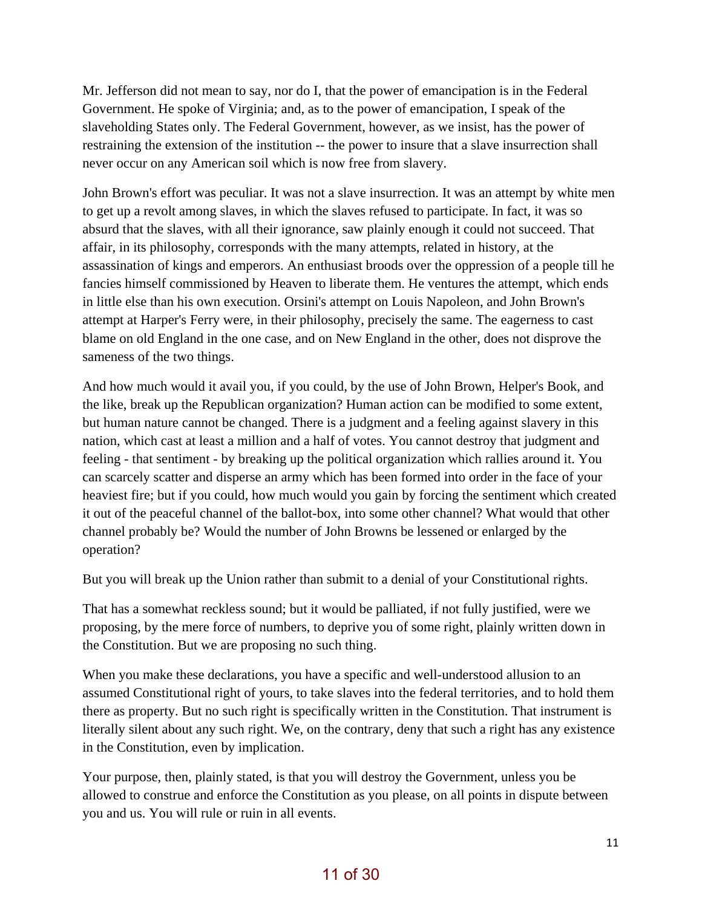Mr. Jefferson did not mean to say, nor do I, that the power of emancipation is in the Federal Government. He spoke of Virginia; and, as to the power of emancipation, I speak of the slaveholding States only. The Federal Government, however, as we insist, has the power of restraining the extension of the institution -- the power to insure that a slave insurrection shall never occur on any American soil which is now free from slavery.

John Brown's effort was peculiar. It was not a slave insurrection. It was an attempt by white men to get up a revolt among slaves, in which the slaves refused to participate. In fact, it was so absurd that the slaves, with all their ignorance, saw plainly enough it could not succeed. That affair, in its philosophy, corresponds with the many attempts, related in history, at the assassination of kings and emperors. An enthusiast broods over the oppression of a people till he fancies himself commissioned by Heaven to liberate them. He ventures the attempt, which ends in little else than his own execution. Orsini's attempt on Louis Napoleon, and John Brown's attempt at Harper's Ferry were, in their philosophy, precisely the same. The eagerness to cast blame on old England in the one case, and on New England in the other, does not disprove the sameness of the two things.

And how much would it avail you, if you could, by the use of John Brown, Helper's Book, and the like, break up the Republican organization? Human action can be modified to some extent, but human nature cannot be changed. There is a judgment and a feeling against slavery in this nation, which cast at least a million and a half of votes. You cannot destroy that judgment and feeling - that sentiment - by breaking up the political organization which rallies around it. You can scarcely scatter and disperse an army which has been formed into order in the face of your heaviest fire; but if you could, how much would you gain by forcing the sentiment which created it out of the peaceful channel of the ballot-box, into some other channel? What would that other channel probably be? Would the number of John Browns be lessened or enlarged by the operation?

But you will break up the Union rather than submit to a denial of your Constitutional rights.

That has a somewhat reckless sound; but it would be palliated, if not fully justified, were we proposing, by the mere force of numbers, to deprive you of some right, plainly written down in the Constitution. But we are proposing no such thing.

When you make these declarations, you have a specific and well-understood allusion to an assumed Constitutional right of yours, to take slaves into the federal territories, and to hold them there as property. But no such right is specifically written in the Constitution. That instrument is literally silent about any such right. We, on the contrary, deny that such a right has any existence in the Constitution, even by implication.

Your purpose, then, plainly stated, is that you will destroy the Government, unless you be allowed to construe and enforce the Constitution as you please, on all points in dispute between you and us. You will rule or ruin in all events.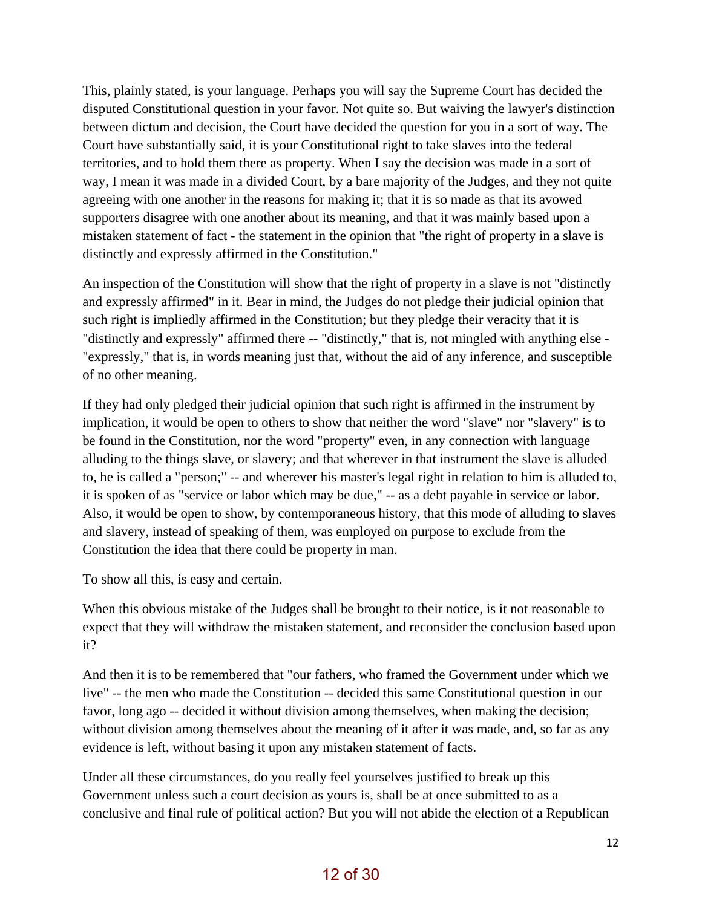This, plainly stated, is your language. Perhaps you will say the Supreme Court has decided the disputed Constitutional question in your favor. Not quite so. But waiving the lawyer's distinction between dictum and decision, the Court have decided the question for you in a sort of way. The Court have substantially said, it is your Constitutional right to take slaves into the federal territories, and to hold them there as property. When I say the decision was made in a sort of way, I mean it was made in a divided Court, by a bare majority of the Judges, and they not quite agreeing with one another in the reasons for making it; that it is so made as that its avowed supporters disagree with one another about its meaning, and that it was mainly based upon a mistaken statement of fact - the statement in the opinion that "the right of property in a slave is distinctly and expressly affirmed in the Constitution."

An inspection of the Constitution will show that the right of property in a slave is not "distinctly and expressly affirmed" in it. Bear in mind, the Judges do not pledge their judicial opinion that such right is impliedly affirmed in the Constitution; but they pledge their veracity that it is "distinctly and expressly" affirmed there -- "distinctly," that is, not mingled with anything else - "expressly," that is, in words meaning just that, without the aid of any inference, and susceptible of no other meaning.

If they had only pledged their judicial opinion that such right is affirmed in the instrument by implication, it would be open to others to show that neither the word "slave" nor "slavery" is to be found in the Constitution, nor the word "property" even, in any connection with language alluding to the things slave, or slavery; and that wherever in that instrument the slave is alluded to, he is called a "person;" -- and wherever his master's legal right in relation to him is alluded to, it is spoken of as "service or labor which may be due," -- as a debt payable in service or labor. Also, it would be open to show, by contemporaneous history, that this mode of alluding to slaves and slavery, instead of speaking of them, was employed on purpose to exclude from the Constitution the idea that there could be property in man.

To show all this, is easy and certain.

When this obvious mistake of the Judges shall be brought to their notice, is it not reasonable to expect that they will withdraw the mistaken statement, and reconsider the conclusion based upon it?

And then it is to be remembered that "our fathers, who framed the Government under which we live" -- the men who made the Constitution -- decided this same Constitutional question in our favor, long ago -- decided it without division among themselves, when making the decision; without division among themselves about the meaning of it after it was made, and, so far as any evidence is left, without basing it upon any mistaken statement of facts.

Under all these circumstances, do you really feel yourselves justified to break up this Government unless such a court decision as yours is, shall be at once submitted to as a conclusive and final rule of political action? But you will not abide the election of a Republican

### 12 of 30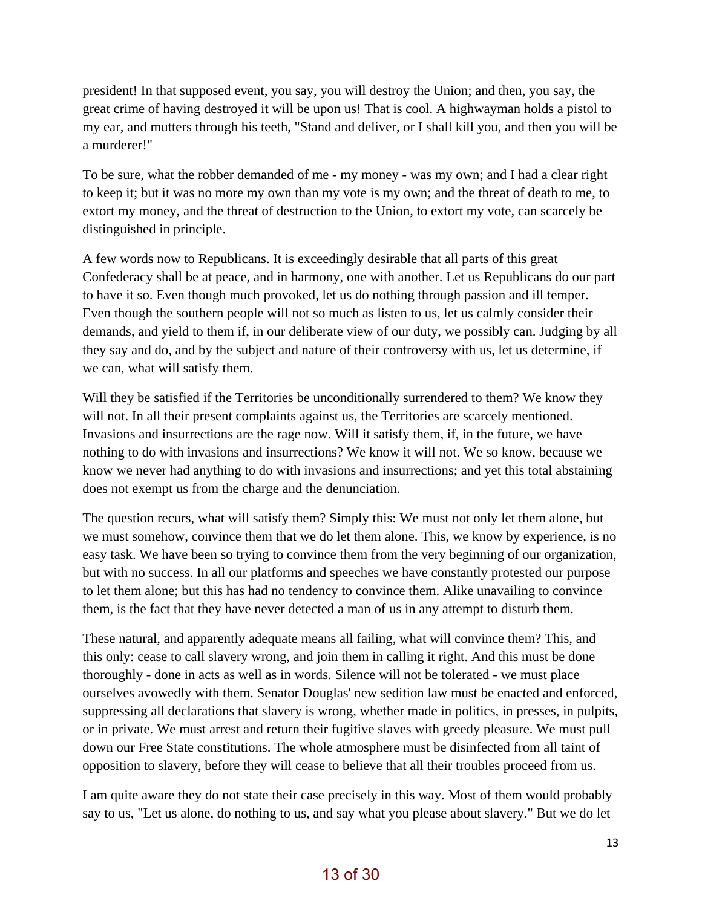president! In that supposed event, you say, you will destroy the Union; and then, you say, the great crime of having destroyed it will be upon us! That is cool. A highwayman holds a pistol to my ear, and mutters through his teeth, "Stand and deliver, or I shall kill you, and then you will be a murderer!"

To be sure, what the robber demanded of me - my money - was my own; and I had a clear right to keep it; but it was no more my own than my vote is my own; and the threat of death to me, to extort my money, and the threat of destruction to the Union, to extort my vote, can scarcely be distinguished in principle.

A few words now to Republicans. It is exceedingly desirable that all parts of this great Confederacy shall be at peace, and in harmony, one with another. Let us Republicans do our part to have it so. Even though much provoked, let us do nothing through passion and ill temper. Even though the southern people will not so much as listen to us, let us calmly consider their demands, and yield to them if, in our deliberate view of our duty, we possibly can. Judging by all they say and do, and by the subject and nature of their controversy with us, let us determine, if we can, what will satisfy them.

Will they be satisfied if the Territories be unconditionally surrendered to them? We know they will not. In all their present complaints against us, the Territories are scarcely mentioned. Invasions and insurrections are the rage now. Will it satisfy them, if, in the future, we have nothing to do with invasions and insurrections? We know it will not. We so know, because we know we never had anything to do with invasions and insurrections; and yet this total abstaining does not exempt us from the charge and the denunciation.

The question recurs, what will satisfy them? Simply this: We must not only let them alone, but we must somehow, convince them that we do let them alone. This, we know by experience, is no easy task. We have been so trying to convince them from the very beginning of our organization, but with no success. In all our platforms and speeches we have constantly protested our purpose to let them alone; but this has had no tendency to convince them. Alike unavailing to convince them, is the fact that they have never detected a man of us in any attempt to disturb them.

These natural, and apparently adequate means all failing, what will convince them? This, and this only: cease to call slavery wrong, and join them in calling it right. And this must be done thoroughly - done in acts as well as in words. Silence will not be tolerated - we must place ourselves avowedly with them. Senator Douglas' new sedition law must be enacted and enforced, suppressing all declarations that slavery is wrong, whether made in politics, in presses, in pulpits, or in private. We must arrest and return their fugitive slaves with greedy pleasure. We must pull down our Free State constitutions. The whole atmosphere must be disinfected from all taint of opposition to slavery, before they will cease to believe that all their troubles proceed from us.

I am quite aware they do not state their case precisely in this way. Most of them would probably say to us, "Let us alone, do nothing to us, and say what you please about slavery." But we do let

### 13 of 30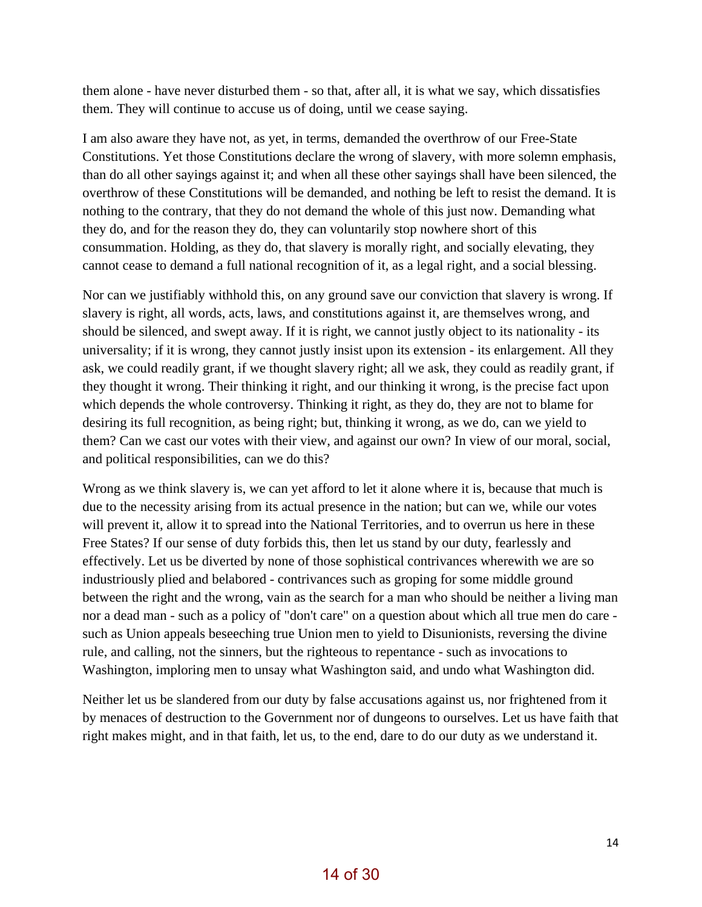them alone - have never disturbed them - so that, after all, it is what we say, which dissatisfies them. They will continue to accuse us of doing, until we cease saying.

I am also aware they have not, as yet, in terms, demanded the overthrow of our Free-State Constitutions. Yet those Constitutions declare the wrong of slavery, with more solemn emphasis, than do all other sayings against it; and when all these other sayings shall have been silenced, the overthrow of these Constitutions will be demanded, and nothing be left to resist the demand. It is nothing to the contrary, that they do not demand the whole of this just now. Demanding what they do, and for the reason they do, they can voluntarily stop nowhere short of this consummation. Holding, as they do, that slavery is morally right, and socially elevating, they cannot cease to demand a full national recognition of it, as a legal right, and a social blessing.

Nor can we justifiably withhold this, on any ground save our conviction that slavery is wrong. If slavery is right, all words, acts, laws, and constitutions against it, are themselves wrong, and should be silenced, and swept away. If it is right, we cannot justly object to its nationality - its universality; if it is wrong, they cannot justly insist upon its extension - its enlargement. All they ask, we could readily grant, if we thought slavery right; all we ask, they could as readily grant, if they thought it wrong. Their thinking it right, and our thinking it wrong, is the precise fact upon which depends the whole controversy. Thinking it right, as they do, they are not to blame for desiring its full recognition, as being right; but, thinking it wrong, as we do, can we yield to them? Can we cast our votes with their view, and against our own? In view of our moral, social, and political responsibilities, can we do this?

Wrong as we think slavery is, we can yet afford to let it alone where it is, because that much is due to the necessity arising from its actual presence in the nation; but can we, while our votes will prevent it, allow it to spread into the National Territories, and to overrun us here in these Free States? If our sense of duty forbids this, then let us stand by our duty, fearlessly and effectively. Let us be diverted by none of those sophistical contrivances wherewith we are so industriously plied and belabored - contrivances such as groping for some middle ground between the right and the wrong, vain as the search for a man who should be neither a living man nor a dead man - such as a policy of "don't care" on a question about which all true men do care such as Union appeals beseeching true Union men to yield to Disunionists, reversing the divine rule, and calling, not the sinners, but the righteous to repentance - such as invocations to Washington, imploring men to unsay what Washington said, and undo what Washington did.

Neither let us be slandered from our duty by false accusations against us, nor frightened from it by menaces of destruction to the Government nor of dungeons to ourselves. Let us have faith that right makes might, and in that faith, let us, to the end, dare to do our duty as we understand it.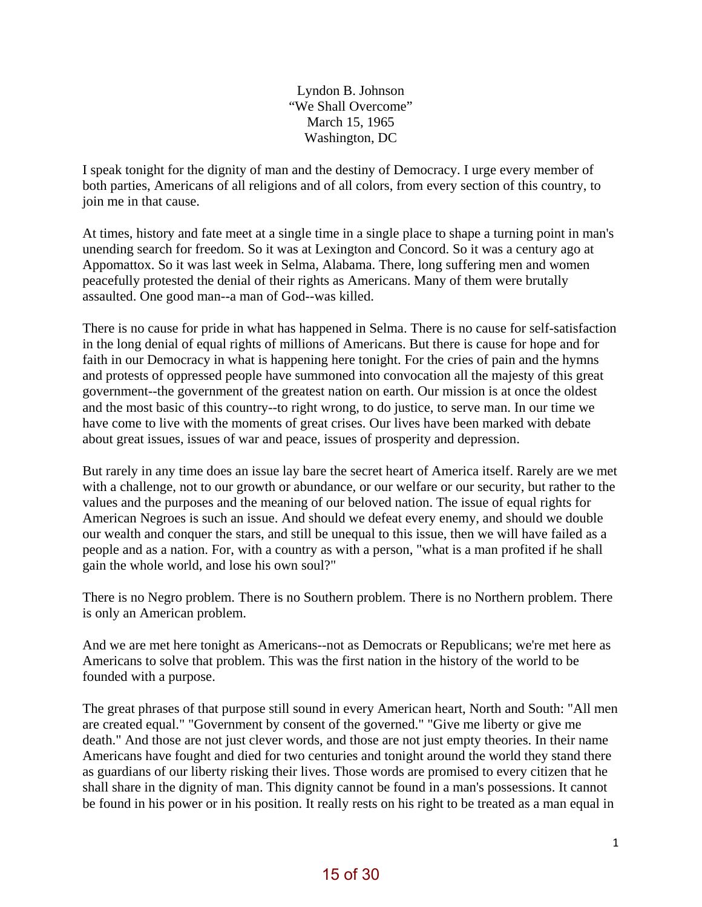Lyndon B. Johnson "We Shall Overcome" March 15, 1965 Washington, DC

I speak tonight for the dignity of man and the destiny of Democracy. I urge every member of both parties, Americans of all religions and of all colors, from every section of this country, to join me in that cause.

At times, history and fate meet at a single time in a single place to shape a turning point in man's unending search for freedom. So it was at Lexington and Concord. So it was a century ago at Appomattox. So it was last week in Selma, Alabama. There, long suffering men and women peacefully protested the denial of their rights as Americans. Many of them were brutally assaulted. One good man--a man of God--was killed.

There is no cause for pride in what has happened in Selma. There is no cause for self-satisfaction in the long denial of equal rights of millions of Americans. But there is cause for hope and for faith in our Democracy in what is happening here tonight. For the cries of pain and the hymns and protests of oppressed people have summoned into convocation all the majesty of this great government--the government of the greatest nation on earth. Our mission is at once the oldest and the most basic of this country--to right wrong, to do justice, to serve man. In our time we have come to live with the moments of great crises. Our lives have been marked with debate about great issues, issues of war and peace, issues of prosperity and depression.

But rarely in any time does an issue lay bare the secret heart of America itself. Rarely are we met with a challenge, not to our growth or abundance, or our welfare or our security, but rather to the values and the purposes and the meaning of our beloved nation. The issue of equal rights for American Negroes is such an issue. And should we defeat every enemy, and should we double our wealth and conquer the stars, and still be unequal to this issue, then we will have failed as a people and as a nation. For, with a country as with a person, "what is a man profited if he shall gain the whole world, and lose his own soul?"

There is no Negro problem. There is no Southern problem. There is no Northern problem. There is only an American problem.

And we are met here tonight as Americans--not as Democrats or Republicans; we're met here as Americans to solve that problem. This was the first nation in the history of the world to be founded with a purpose.

The great phrases of that purpose still sound in every American heart, North and South: "All men are created equal." "Government by consent of the governed." "Give me liberty or give me death." And those are not just clever words, and those are not just empty theories. In their name Americans have fought and died for two centuries and tonight around the world they stand there as guardians of our liberty risking their lives. Those words are promised to every citizen that he shall share in the dignity of man. This dignity cannot be found in a man's possessions. It cannot be found in his power or in his position. It really rests on his right to be treated as a man equal in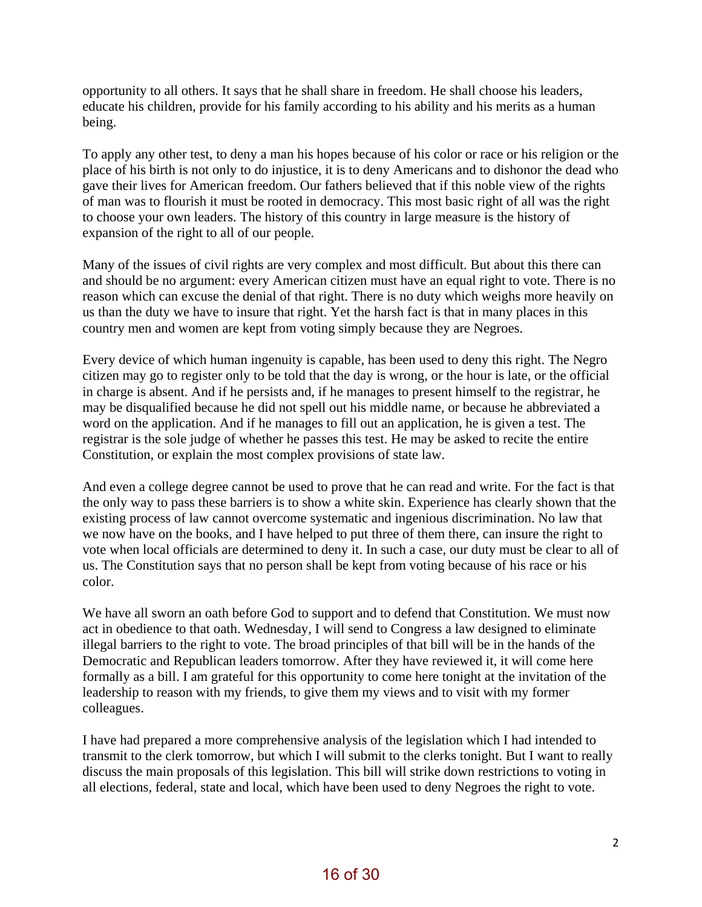opportunity to all others. It says that he shall share in freedom. He shall choose his leaders, educate his children, provide for his family according to his ability and his merits as a human being.

To apply any other test, to deny a man his hopes because of his color or race or his religion or the place of his birth is not only to do injustice, it is to deny Americans and to dishonor the dead who gave their lives for American freedom. Our fathers believed that if this noble view of the rights of man was to flourish it must be rooted in democracy. This most basic right of all was the right to choose your own leaders. The history of this country in large measure is the history of expansion of the right to all of our people.

Many of the issues of civil rights are very complex and most difficult. But about this there can and should be no argument: every American citizen must have an equal right to vote. There is no reason which can excuse the denial of that right. There is no duty which weighs more heavily on us than the duty we have to insure that right. Yet the harsh fact is that in many places in this country men and women are kept from voting simply because they are Negroes.

Every device of which human ingenuity is capable, has been used to deny this right. The Negro citizen may go to register only to be told that the day is wrong, or the hour is late, or the official in charge is absent. And if he persists and, if he manages to present himself to the registrar, he may be disqualified because he did not spell out his middle name, or because he abbreviated a word on the application. And if he manages to fill out an application, he is given a test. The registrar is the sole judge of whether he passes this test. He may be asked to recite the entire Constitution, or explain the most complex provisions of state law.

And even a college degree cannot be used to prove that he can read and write. For the fact is that the only way to pass these barriers is to show a white skin. Experience has clearly shown that the existing process of law cannot overcome systematic and ingenious discrimination. No law that we now have on the books, and I have helped to put three of them there, can insure the right to vote when local officials are determined to deny it. In such a case, our duty must be clear to all of us. The Constitution says that no person shall be kept from voting because of his race or his color.

We have all sworn an oath before God to support and to defend that Constitution. We must now act in obedience to that oath. Wednesday, I will send to Congress a law designed to eliminate illegal barriers to the right to vote. The broad principles of that bill will be in the hands of the Democratic and Republican leaders tomorrow. After they have reviewed it, it will come here formally as a bill. I am grateful for this opportunity to come here tonight at the invitation of the leadership to reason with my friends, to give them my views and to visit with my former colleagues.

I have had prepared a more comprehensive analysis of the legislation which I had intended to transmit to the clerk tomorrow, but which I will submit to the clerks tonight. But I want to really discuss the main proposals of this legislation. This bill will strike down restrictions to voting in all elections, federal, state and local, which have been used to deny Negroes the right to vote.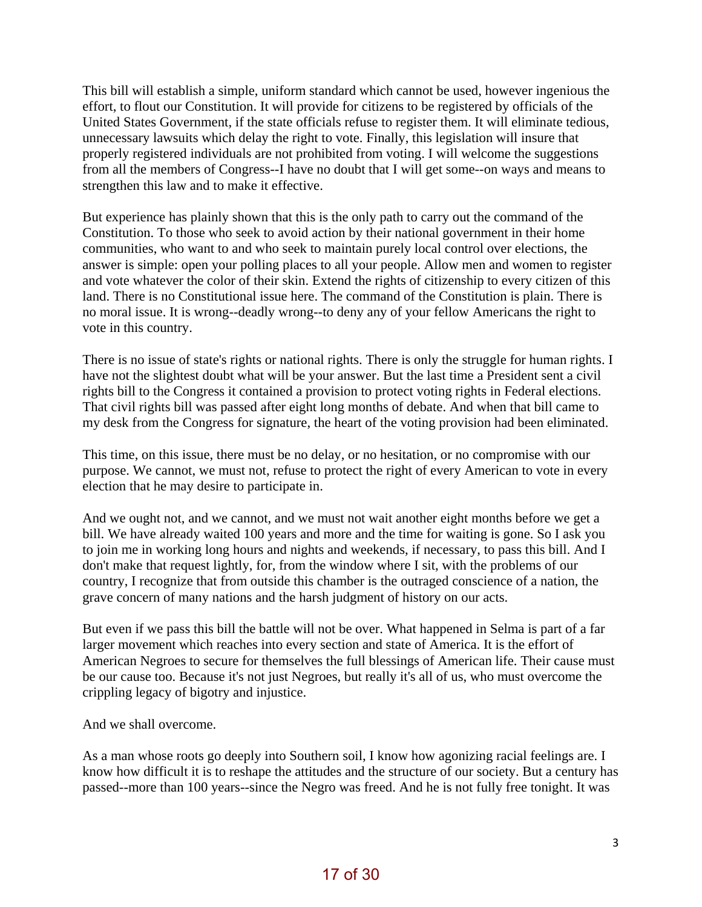This bill will establish a simple, uniform standard which cannot be used, however ingenious the effort, to flout our Constitution. It will provide for citizens to be registered by officials of the United States Government, if the state officials refuse to register them. It will eliminate tedious, unnecessary lawsuits which delay the right to vote. Finally, this legislation will insure that properly registered individuals are not prohibited from voting. I will welcome the suggestions from all the members of Congress--I have no doubt that I will get some--on ways and means to strengthen this law and to make it effective.

But experience has plainly shown that this is the only path to carry out the command of the Constitution. To those who seek to avoid action by their national government in their home communities, who want to and who seek to maintain purely local control over elections, the answer is simple: open your polling places to all your people. Allow men and women to register and vote whatever the color of their skin. Extend the rights of citizenship to every citizen of this land. There is no Constitutional issue here. The command of the Constitution is plain. There is no moral issue. It is wrong--deadly wrong--to deny any of your fellow Americans the right to vote in this country.

There is no issue of state's rights or national rights. There is only the struggle for human rights. I have not the slightest doubt what will be your answer. But the last time a President sent a civil rights bill to the Congress it contained a provision to protect voting rights in Federal elections. That civil rights bill was passed after eight long months of debate. And when that bill came to my desk from the Congress for signature, the heart of the voting provision had been eliminated.

This time, on this issue, there must be no delay, or no hesitation, or no compromise with our purpose. We cannot, we must not, refuse to protect the right of every American to vote in every election that he may desire to participate in.

And we ought not, and we cannot, and we must not wait another eight months before we get a bill. We have already waited 100 years and more and the time for waiting is gone. So I ask you to join me in working long hours and nights and weekends, if necessary, to pass this bill. And I don't make that request lightly, for, from the window where I sit, with the problems of our country, I recognize that from outside this chamber is the outraged conscience of a nation, the grave concern of many nations and the harsh judgment of history on our acts.

But even if we pass this bill the battle will not be over. What happened in Selma is part of a far larger movement which reaches into every section and state of America. It is the effort of American Negroes to secure for themselves the full blessings of American life. Their cause must be our cause too. Because it's not just Negroes, but really it's all of us, who must overcome the crippling legacy of bigotry and injustice.

And we shall overcome.

As a man whose roots go deeply into Southern soil, I know how agonizing racial feelings are. I know how difficult it is to reshape the attitudes and the structure of our society. But a century has passed--more than 100 years--since the Negro was freed. And he is not fully free tonight. It was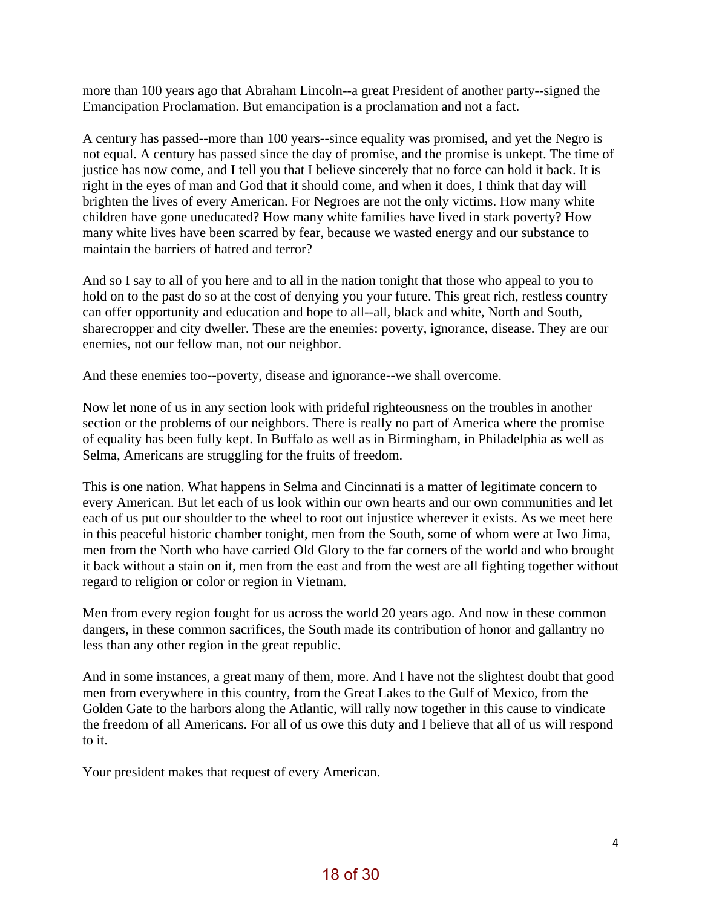more than 100 years ago that Abraham Lincoln--a great President of another party--signed the Emancipation Proclamation. But emancipation is a proclamation and not a fact.

A century has passed--more than 100 years--since equality was promised, and yet the Negro is not equal. A century has passed since the day of promise, and the promise is unkept. The time of justice has now come, and I tell you that I believe sincerely that no force can hold it back. It is right in the eyes of man and God that it should come, and when it does, I think that day will brighten the lives of every American. For Negroes are not the only victims. How many white children have gone uneducated? How many white families have lived in stark poverty? How many white lives have been scarred by fear, because we wasted energy and our substance to maintain the barriers of hatred and terror?

And so I say to all of you here and to all in the nation tonight that those who appeal to you to hold on to the past do so at the cost of denying you your future. This great rich, restless country can offer opportunity and education and hope to all--all, black and white, North and South, sharecropper and city dweller. These are the enemies: poverty, ignorance, disease. They are our enemies, not our fellow man, not our neighbor.

And these enemies too--poverty, disease and ignorance--we shall overcome.

Now let none of us in any section look with prideful righteousness on the troubles in another section or the problems of our neighbors. There is really no part of America where the promise of equality has been fully kept. In Buffalo as well as in Birmingham, in Philadelphia as well as Selma, Americans are struggling for the fruits of freedom.

This is one nation. What happens in Selma and Cincinnati is a matter of legitimate concern to every American. But let each of us look within our own hearts and our own communities and let each of us put our shoulder to the wheel to root out injustice wherever it exists. As we meet here in this peaceful historic chamber tonight, men from the South, some of whom were at Iwo Jima, men from the North who have carried Old Glory to the far corners of the world and who brought it back without a stain on it, men from the east and from the west are all fighting together without regard to religion or color or region in Vietnam.

Men from every region fought for us across the world 20 years ago. And now in these common dangers, in these common sacrifices, the South made its contribution of honor and gallantry no less than any other region in the great republic.

And in some instances, a great many of them, more. And I have not the slightest doubt that good men from everywhere in this country, from the Great Lakes to the Gulf of Mexico, from the Golden Gate to the harbors along the Atlantic, will rally now together in this cause to vindicate the freedom of all Americans. For all of us owe this duty and I believe that all of us will respond to it.

Your president makes that request of every American.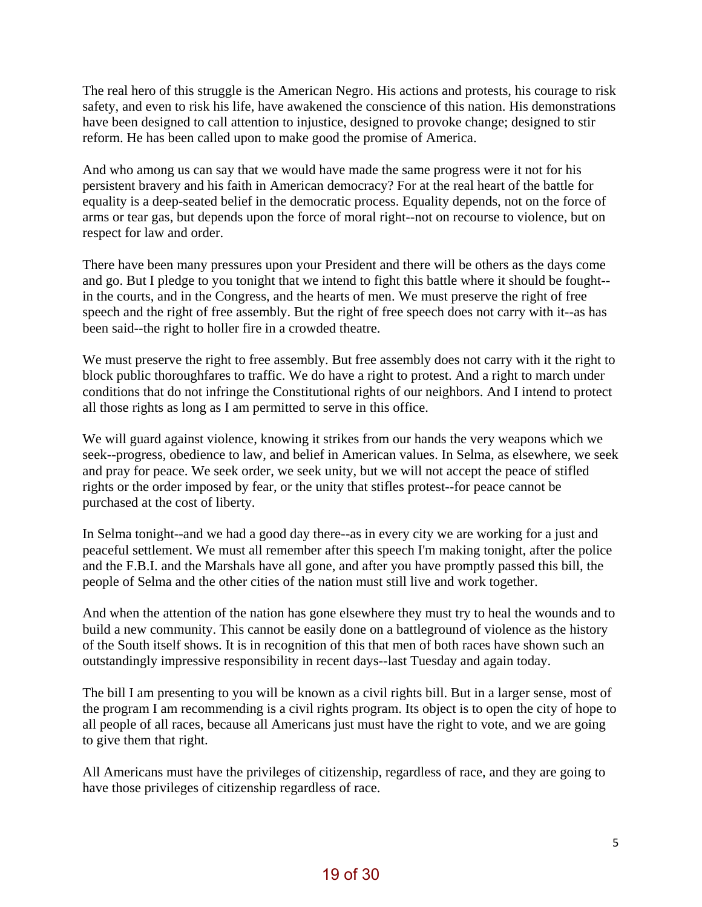The real hero of this struggle is the American Negro. His actions and protests, his courage to risk safety, and even to risk his life, have awakened the conscience of this nation. His demonstrations have been designed to call attention to injustice, designed to provoke change; designed to stir reform. He has been called upon to make good the promise of America.

And who among us can say that we would have made the same progress were it not for his persistent bravery and his faith in American democracy? For at the real heart of the battle for equality is a deep-seated belief in the democratic process. Equality depends, not on the force of arms or tear gas, but depends upon the force of moral right--not on recourse to violence, but on respect for law and order.

There have been many pressures upon your President and there will be others as the days come and go. But I pledge to you tonight that we intend to fight this battle where it should be fought- in the courts, and in the Congress, and the hearts of men. We must preserve the right of free speech and the right of free assembly. But the right of free speech does not carry with it--as has been said--the right to holler fire in a crowded theatre.

We must preserve the right to free assembly. But free assembly does not carry with it the right to block public thoroughfares to traffic. We do have a right to protest. And a right to march under conditions that do not infringe the Constitutional rights of our neighbors. And I intend to protect all those rights as long as I am permitted to serve in this office.

We will guard against violence, knowing it strikes from our hands the very weapons which we seek--progress, obedience to law, and belief in American values. In Selma, as elsewhere, we seek and pray for peace. We seek order, we seek unity, but we will not accept the peace of stifled rights or the order imposed by fear, or the unity that stifles protest--for peace cannot be purchased at the cost of liberty.

In Selma tonight--and we had a good day there--as in every city we are working for a just and peaceful settlement. We must all remember after this speech I'm making tonight, after the police and the F.B.I. and the Marshals have all gone, and after you have promptly passed this bill, the people of Selma and the other cities of the nation must still live and work together.

And when the attention of the nation has gone elsewhere they must try to heal the wounds and to build a new community. This cannot be easily done on a battleground of violence as the history of the South itself shows. It is in recognition of this that men of both races have shown such an outstandingly impressive responsibility in recent days--last Tuesday and again today.

The bill I am presenting to you will be known as a civil rights bill. But in a larger sense, most of the program I am recommending is a civil rights program. Its object is to open the city of hope to all people of all races, because all Americans just must have the right to vote, and we are going to give them that right.

All Americans must have the privileges of citizenship, regardless of race, and they are going to have those privileges of citizenship regardless of race.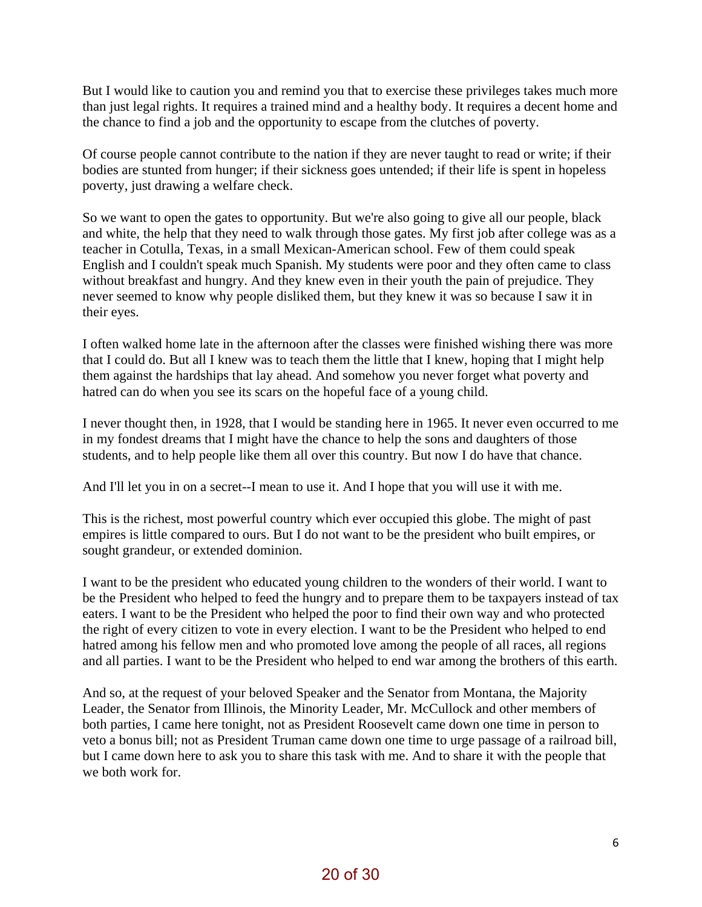But I would like to caution you and remind you that to exercise these privileges takes much more than just legal rights. It requires a trained mind and a healthy body. It requires a decent home and the chance to find a job and the opportunity to escape from the clutches of poverty.

Of course people cannot contribute to the nation if they are never taught to read or write; if their bodies are stunted from hunger; if their sickness goes untended; if their life is spent in hopeless poverty, just drawing a welfare check.

So we want to open the gates to opportunity. But we're also going to give all our people, black and white, the help that they need to walk through those gates. My first job after college was as a teacher in Cotulla, Texas, in a small Mexican-American school. Few of them could speak English and I couldn't speak much Spanish. My students were poor and they often came to class without breakfast and hungry. And they knew even in their youth the pain of prejudice. They never seemed to know why people disliked them, but they knew it was so because I saw it in their eyes.

I often walked home late in the afternoon after the classes were finished wishing there was more that I could do. But all I knew was to teach them the little that I knew, hoping that I might help them against the hardships that lay ahead. And somehow you never forget what poverty and hatred can do when you see its scars on the hopeful face of a young child.

I never thought then, in 1928, that I would be standing here in 1965. It never even occurred to me in my fondest dreams that I might have the chance to help the sons and daughters of those students, and to help people like them all over this country. But now I do have that chance.

And I'll let you in on a secret--I mean to use it. And I hope that you will use it with me.

This is the richest, most powerful country which ever occupied this globe. The might of past empires is little compared to ours. But I do not want to be the president who built empires, or sought grandeur, or extended dominion.

I want to be the president who educated young children to the wonders of their world. I want to be the President who helped to feed the hungry and to prepare them to be taxpayers instead of tax eaters. I want to be the President who helped the poor to find their own way and who protected the right of every citizen to vote in every election. I want to be the President who helped to end hatred among his fellow men and who promoted love among the people of all races, all regions and all parties. I want to be the President who helped to end war among the brothers of this earth.

And so, at the request of your beloved Speaker and the Senator from Montana, the Majority Leader, the Senator from Illinois, the Minority Leader, Mr. McCullock and other members of both parties, I came here tonight, not as President Roosevelt came down one time in person to veto a bonus bill; not as President Truman came down one time to urge passage of a railroad bill, but I came down here to ask you to share this task with me. And to share it with the people that we both work for.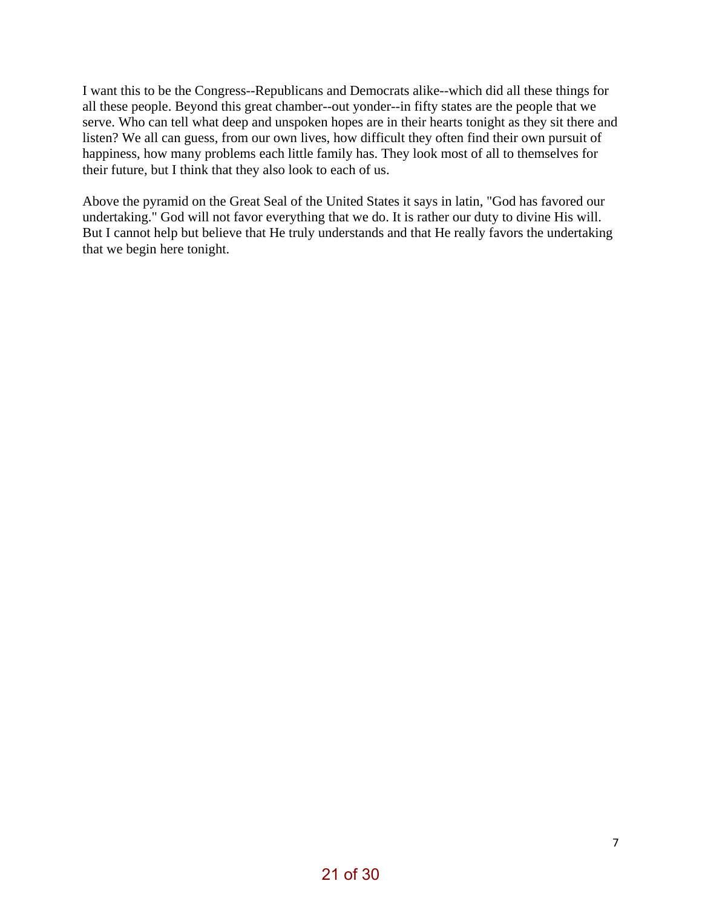I want this to be the Congress--Republicans and Democrats alike--which did all these things for all these people. Beyond this great chamber--out yonder--in fifty states are the people that we serve. Who can tell what deep and unspoken hopes are in their hearts tonight as they sit there and listen? We all can guess, from our own lives, how difficult they often find their own pursuit of happiness, how many problems each little family has. They look most of all to themselves for their future, but I think that they also look to each of us.

Above the pyramid on the Great Seal of the United States it says in latin, "God has favored our undertaking." God will not favor everything that we do. It is rather our duty to divine His will. But I cannot help but believe that He truly understands and that He really favors the undertaking that we begin here tonight.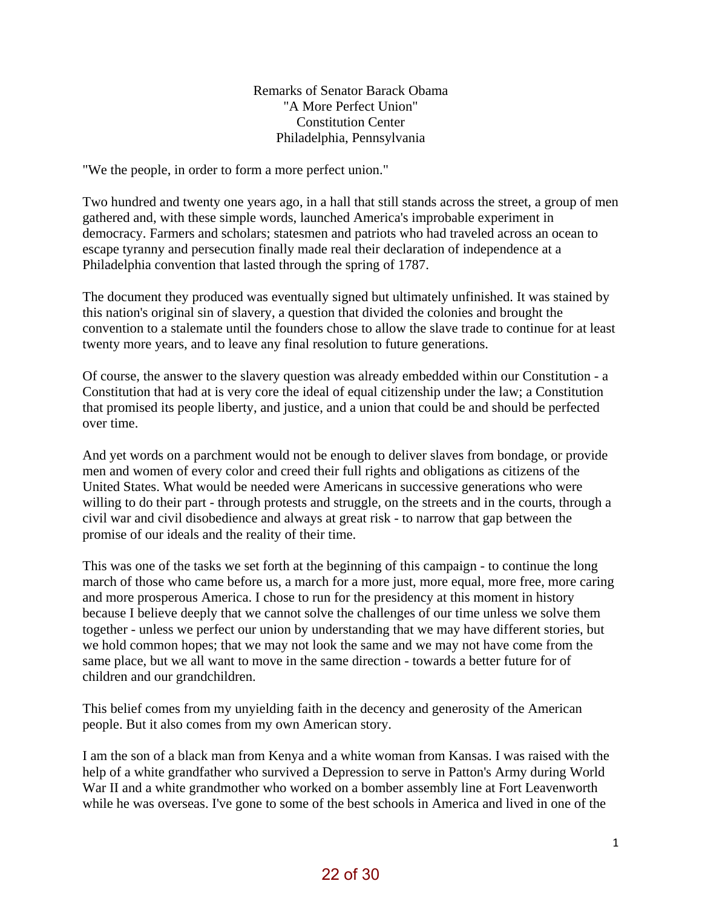Remarks of Senator Barack Obama "A More Perfect Union" Constitution Center Philadelphia, Pennsylvania

"We the people, in order to form a more perfect union."

Two hundred and twenty one years ago, in a hall that still stands across the street, a group of men gathered and, with these simple words, launched America's improbable experiment in democracy. Farmers and scholars; statesmen and patriots who had traveled across an ocean to escape tyranny and persecution finally made real their declaration of independence at a Philadelphia convention that lasted through the spring of 1787.

The document they produced was eventually signed but ultimately unfinished. It was stained by this nation's original sin of slavery, a question that divided the colonies and brought the convention to a stalemate until the founders chose to allow the slave trade to continue for at least twenty more years, and to leave any final resolution to future generations.

Of course, the answer to the slavery question was already embedded within our Constitution - a Constitution that had at is very core the ideal of equal citizenship under the law; a Constitution that promised its people liberty, and justice, and a union that could be and should be perfected over time.

And yet words on a parchment would not be enough to deliver slaves from bondage, or provide men and women of every color and creed their full rights and obligations as citizens of the United States. What would be needed were Americans in successive generations who were willing to do their part - through protests and struggle, on the streets and in the courts, through a civil war and civil disobedience and always at great risk - to narrow that gap between the promise of our ideals and the reality of their time.

This was one of the tasks we set forth at the beginning of this campaign - to continue the long march of those who came before us, a march for a more just, more equal, more free, more caring and more prosperous America. I chose to run for the presidency at this moment in history because I believe deeply that we cannot solve the challenges of our time unless we solve them together - unless we perfect our union by understanding that we may have different stories, but we hold common hopes; that we may not look the same and we may not have come from the same place, but we all want to move in the same direction - towards a better future for of children and our grandchildren.

This belief comes from my unyielding faith in the decency and generosity of the American people. But it also comes from my own American story.

I am the son of a black man from Kenya and a white woman from Kansas. I was raised with the help of a white grandfather who survived a Depression to serve in Patton's Army during World War II and a white grandmother who worked on a bomber assembly line at Fort Leavenworth while he was overseas. I've gone to some of the best schools in America and lived in one of the

#### 22 of 30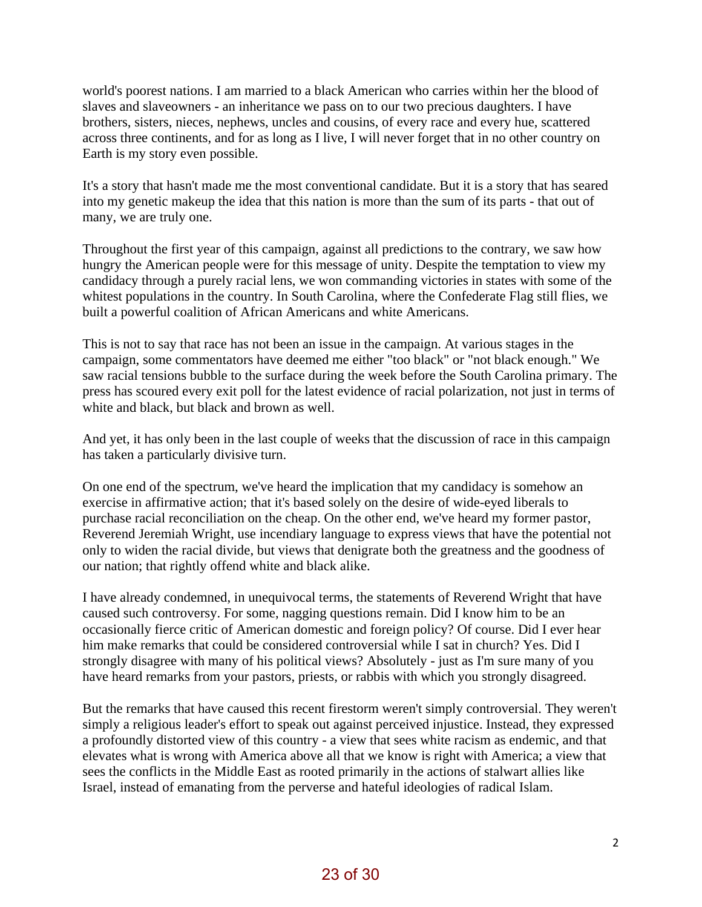world's poorest nations. I am married to a black American who carries within her the blood of slaves and slaveowners - an inheritance we pass on to our two precious daughters. I have brothers, sisters, nieces, nephews, uncles and cousins, of every race and every hue, scattered across three continents, and for as long as I live, I will never forget that in no other country on Earth is my story even possible.

It's a story that hasn't made me the most conventional candidate. But it is a story that has seared into my genetic makeup the idea that this nation is more than the sum of its parts - that out of many, we are truly one.

Throughout the first year of this campaign, against all predictions to the contrary, we saw how hungry the American people were for this message of unity. Despite the temptation to view my candidacy through a purely racial lens, we won commanding victories in states with some of the whitest populations in the country. In South Carolina, where the Confederate Flag still flies, we built a powerful coalition of African Americans and white Americans.

This is not to say that race has not been an issue in the campaign. At various stages in the campaign, some commentators have deemed me either "too black" or "not black enough." We saw racial tensions bubble to the surface during the week before the South Carolina primary. The press has scoured every exit poll for the latest evidence of racial polarization, not just in terms of white and black, but black and brown as well.

And yet, it has only been in the last couple of weeks that the discussion of race in this campaign has taken a particularly divisive turn.

On one end of the spectrum, we've heard the implication that my candidacy is somehow an exercise in affirmative action; that it's based solely on the desire of wide-eyed liberals to purchase racial reconciliation on the cheap. On the other end, we've heard my former pastor, Reverend Jeremiah Wright, use incendiary language to express views that have the potential not only to widen the racial divide, but views that denigrate both the greatness and the goodness of our nation; that rightly offend white and black alike.

I have already condemned, in unequivocal terms, the statements of Reverend Wright that have caused such controversy. For some, nagging questions remain. Did I know him to be an occasionally fierce critic of American domestic and foreign policy? Of course. Did I ever hear him make remarks that could be considered controversial while I sat in church? Yes. Did I strongly disagree with many of his political views? Absolutely - just as I'm sure many of you have heard remarks from your pastors, priests, or rabbis with which you strongly disagreed.

But the remarks that have caused this recent firestorm weren't simply controversial. They weren't simply a religious leader's effort to speak out against perceived injustice. Instead, they expressed a profoundly distorted view of this country - a view that sees white racism as endemic, and that elevates what is wrong with America above all that we know is right with America; a view that sees the conflicts in the Middle East as rooted primarily in the actions of stalwart allies like Israel, instead of emanating from the perverse and hateful ideologies of radical Islam.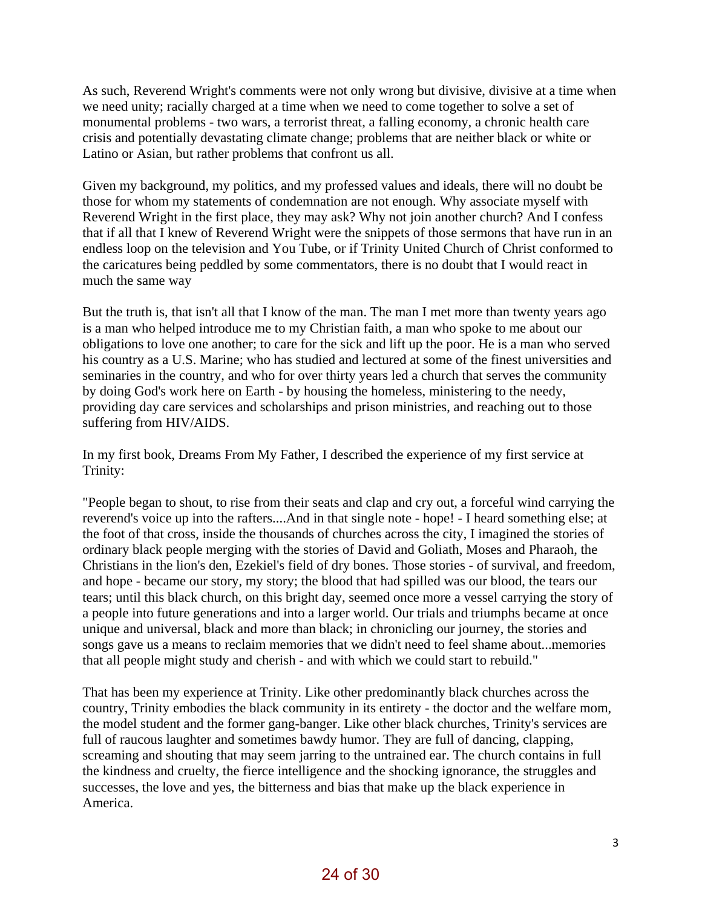As such, Reverend Wright's comments were not only wrong but divisive, divisive at a time when we need unity; racially charged at a time when we need to come together to solve a set of monumental problems - two wars, a terrorist threat, a falling economy, a chronic health care crisis and potentially devastating climate change; problems that are neither black or white or Latino or Asian, but rather problems that confront us all.

Given my background, my politics, and my professed values and ideals, there will no doubt be those for whom my statements of condemnation are not enough. Why associate myself with Reverend Wright in the first place, they may ask? Why not join another church? And I confess that if all that I knew of Reverend Wright were the snippets of those sermons that have run in an endless loop on the television and You Tube, or if Trinity United Church of Christ conformed to the caricatures being peddled by some commentators, there is no doubt that I would react in much the same way

But the truth is, that isn't all that I know of the man. The man I met more than twenty years ago is a man who helped introduce me to my Christian faith, a man who spoke to me about our obligations to love one another; to care for the sick and lift up the poor. He is a man who served his country as a U.S. Marine; who has studied and lectured at some of the finest universities and seminaries in the country, and who for over thirty years led a church that serves the community by doing God's work here on Earth - by housing the homeless, ministering to the needy, providing day care services and scholarships and prison ministries, and reaching out to those suffering from HIV/AIDS.

In my first book, Dreams From My Father, I described the experience of my first service at Trinity:

"People began to shout, to rise from their seats and clap and cry out, a forceful wind carrying the reverend's voice up into the rafters....And in that single note - hope! - I heard something else; at the foot of that cross, inside the thousands of churches across the city, I imagined the stories of ordinary black people merging with the stories of David and Goliath, Moses and Pharaoh, the Christians in the lion's den, Ezekiel's field of dry bones. Those stories - of survival, and freedom, and hope - became our story, my story; the blood that had spilled was our blood, the tears our tears; until this black church, on this bright day, seemed once more a vessel carrying the story of a people into future generations and into a larger world. Our trials and triumphs became at once unique and universal, black and more than black; in chronicling our journey, the stories and songs gave us a means to reclaim memories that we didn't need to feel shame about...memories that all people might study and cherish - and with which we could start to rebuild."

That has been my experience at Trinity. Like other predominantly black churches across the country, Trinity embodies the black community in its entirety - the doctor and the welfare mom, the model student and the former gang-banger. Like other black churches, Trinity's services are full of raucous laughter and sometimes bawdy humor. They are full of dancing, clapping, screaming and shouting that may seem jarring to the untrained ear. The church contains in full the kindness and cruelty, the fierce intelligence and the shocking ignorance, the struggles and successes, the love and yes, the bitterness and bias that make up the black experience in America.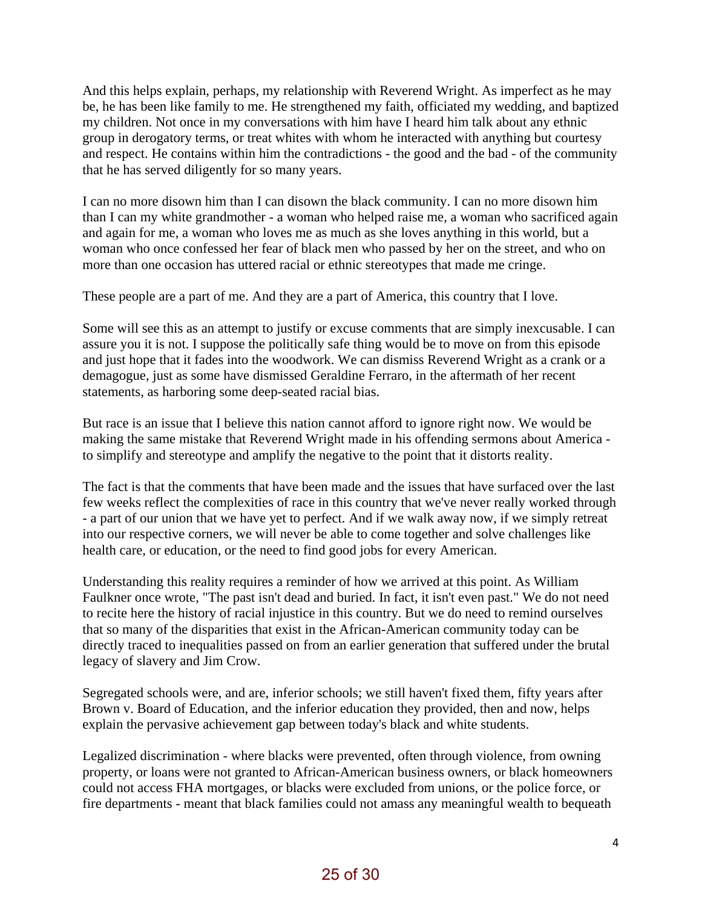And this helps explain, perhaps, my relationship with Reverend Wright. As imperfect as he may be, he has been like family to me. He strengthened my faith, officiated my wedding, and baptized my children. Not once in my conversations with him have I heard him talk about any ethnic group in derogatory terms, or treat whites with whom he interacted with anything but courtesy and respect. He contains within him the contradictions - the good and the bad - of the community that he has served diligently for so many years.

I can no more disown him than I can disown the black community. I can no more disown him than I can my white grandmother - a woman who helped raise me, a woman who sacrificed again and again for me, a woman who loves me as much as she loves anything in this world, but a woman who once confessed her fear of black men who passed by her on the street, and who on more than one occasion has uttered racial or ethnic stereotypes that made me cringe.

These people are a part of me. And they are a part of America, this country that I love.

Some will see this as an attempt to justify or excuse comments that are simply inexcusable. I can assure you it is not. I suppose the politically safe thing would be to move on from this episode and just hope that it fades into the woodwork. We can dismiss Reverend Wright as a crank or a demagogue, just as some have dismissed Geraldine Ferraro, in the aftermath of her recent statements, as harboring some deep-seated racial bias.

But race is an issue that I believe this nation cannot afford to ignore right now. We would be making the same mistake that Reverend Wright made in his offending sermons about America to simplify and stereotype and amplify the negative to the point that it distorts reality.

The fact is that the comments that have been made and the issues that have surfaced over the last few weeks reflect the complexities of race in this country that we've never really worked through - a part of our union that we have yet to perfect. And if we walk away now, if we simply retreat into our respective corners, we will never be able to come together and solve challenges like health care, or education, or the need to find good jobs for every American.

Understanding this reality requires a reminder of how we arrived at this point. As William Faulkner once wrote, "The past isn't dead and buried. In fact, it isn't even past." We do not need to recite here the history of racial injustice in this country. But we do need to remind ourselves that so many of the disparities that exist in the African-American community today can be directly traced to inequalities passed on from an earlier generation that suffered under the brutal legacy of slavery and Jim Crow.

Segregated schools were, and are, inferior schools; we still haven't fixed them, fifty years after Brown v. Board of Education, and the inferior education they provided, then and now, helps explain the pervasive achievement gap between today's black and white students.

Legalized discrimination - where blacks were prevented, often through violence, from owning property, or loans were not granted to African-American business owners, or black homeowners could not access FHA mortgages, or blacks were excluded from unions, or the police force, or fire departments - meant that black families could not amass any meaningful wealth to bequeath

#### 25 of 30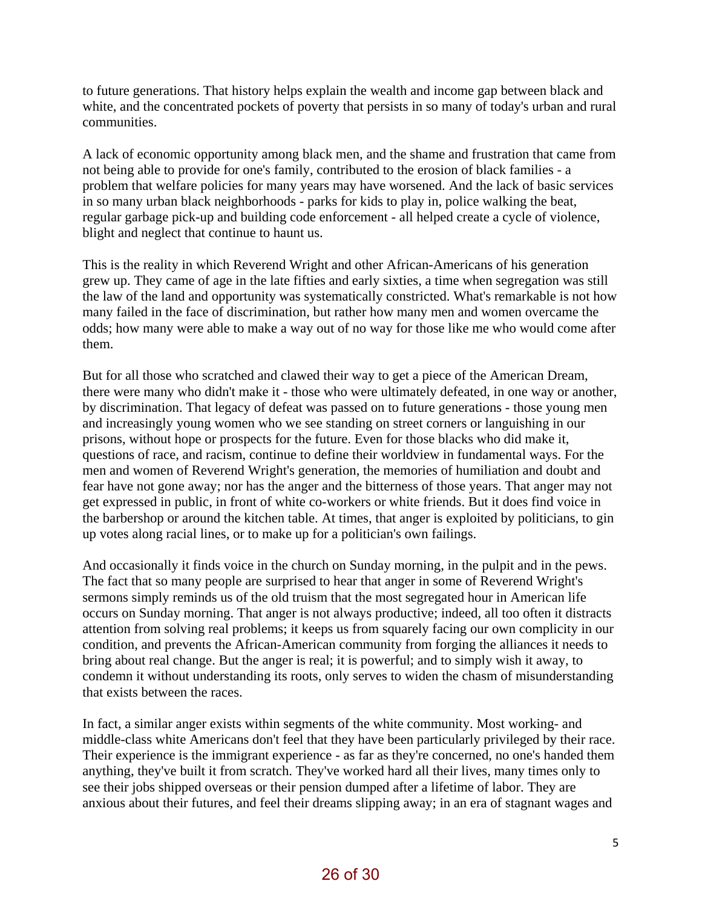to future generations. That history helps explain the wealth and income gap between black and white, and the concentrated pockets of poverty that persists in so many of today's urban and rural communities.

A lack of economic opportunity among black men, and the shame and frustration that came from not being able to provide for one's family, contributed to the erosion of black families - a problem that welfare policies for many years may have worsened. And the lack of basic services in so many urban black neighborhoods - parks for kids to play in, police walking the beat, regular garbage pick-up and building code enforcement - all helped create a cycle of violence, blight and neglect that continue to haunt us.

This is the reality in which Reverend Wright and other African-Americans of his generation grew up. They came of age in the late fifties and early sixties, a time when segregation was still the law of the land and opportunity was systematically constricted. What's remarkable is not how many failed in the face of discrimination, but rather how many men and women overcame the odds; how many were able to make a way out of no way for those like me who would come after them.

But for all those who scratched and clawed their way to get a piece of the American Dream, there were many who didn't make it - those who were ultimately defeated, in one way or another, by discrimination. That legacy of defeat was passed on to future generations - those young men and increasingly young women who we see standing on street corners or languishing in our prisons, without hope or prospects for the future. Even for those blacks who did make it, questions of race, and racism, continue to define their worldview in fundamental ways. For the men and women of Reverend Wright's generation, the memories of humiliation and doubt and fear have not gone away; nor has the anger and the bitterness of those years. That anger may not get expressed in public, in front of white co-workers or white friends. But it does find voice in the barbershop or around the kitchen table. At times, that anger is exploited by politicians, to gin up votes along racial lines, or to make up for a politician's own failings.

And occasionally it finds voice in the church on Sunday morning, in the pulpit and in the pews. The fact that so many people are surprised to hear that anger in some of Reverend Wright's sermons simply reminds us of the old truism that the most segregated hour in American life occurs on Sunday morning. That anger is not always productive; indeed, all too often it distracts attention from solving real problems; it keeps us from squarely facing our own complicity in our condition, and prevents the African-American community from forging the alliances it needs to bring about real change. But the anger is real; it is powerful; and to simply wish it away, to condemn it without understanding its roots, only serves to widen the chasm of misunderstanding that exists between the races.

In fact, a similar anger exists within segments of the white community. Most working- and middle-class white Americans don't feel that they have been particularly privileged by their race. Their experience is the immigrant experience - as far as they're concerned, no one's handed them anything, they've built it from scratch. They've worked hard all their lives, many times only to see their jobs shipped overseas or their pension dumped after a lifetime of labor. They are anxious about their futures, and feel their dreams slipping away; in an era of stagnant wages and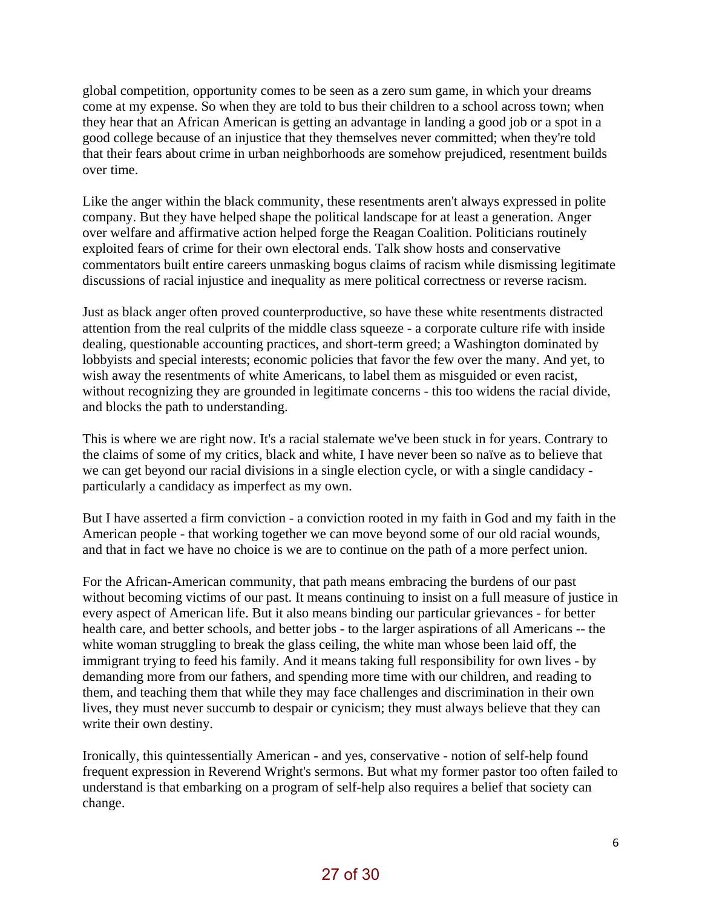global competition, opportunity comes to be seen as a zero sum game, in which your dreams come at my expense. So when they are told to bus their children to a school across town; when they hear that an African American is getting an advantage in landing a good job or a spot in a good college because of an injustice that they themselves never committed; when they're told that their fears about crime in urban neighborhoods are somehow prejudiced, resentment builds over time.

Like the anger within the black community, these resentments aren't always expressed in polite company. But they have helped shape the political landscape for at least a generation. Anger over welfare and affirmative action helped forge the Reagan Coalition. Politicians routinely exploited fears of crime for their own electoral ends. Talk show hosts and conservative commentators built entire careers unmasking bogus claims of racism while dismissing legitimate discussions of racial injustice and inequality as mere political correctness or reverse racism.

Just as black anger often proved counterproductive, so have these white resentments distracted attention from the real culprits of the middle class squeeze - a corporate culture rife with inside dealing, questionable accounting practices, and short-term greed; a Washington dominated by lobbyists and special interests; economic policies that favor the few over the many. And yet, to wish away the resentments of white Americans, to label them as misguided or even racist, without recognizing they are grounded in legitimate concerns - this too widens the racial divide, and blocks the path to understanding.

This is where we are right now. It's a racial stalemate we've been stuck in for years. Contrary to the claims of some of my critics, black and white, I have never been so naïve as to believe that we can get beyond our racial divisions in a single election cycle, or with a single candidacy particularly a candidacy as imperfect as my own.

But I have asserted a firm conviction - a conviction rooted in my faith in God and my faith in the American people - that working together we can move beyond some of our old racial wounds, and that in fact we have no choice is we are to continue on the path of a more perfect union.

For the African-American community, that path means embracing the burdens of our past without becoming victims of our past. It means continuing to insist on a full measure of justice in every aspect of American life. But it also means binding our particular grievances - for better health care, and better schools, and better jobs - to the larger aspirations of all Americans -- the white woman struggling to break the glass ceiling, the white man whose been laid off, the immigrant trying to feed his family. And it means taking full responsibility for own lives - by demanding more from our fathers, and spending more time with our children, and reading to them, and teaching them that while they may face challenges and discrimination in their own lives, they must never succumb to despair or cynicism; they must always believe that they can write their own destiny.

Ironically, this quintessentially American - and yes, conservative - notion of self-help found frequent expression in Reverend Wright's sermons. But what my former pastor too often failed to understand is that embarking on a program of self-help also requires a belief that society can change.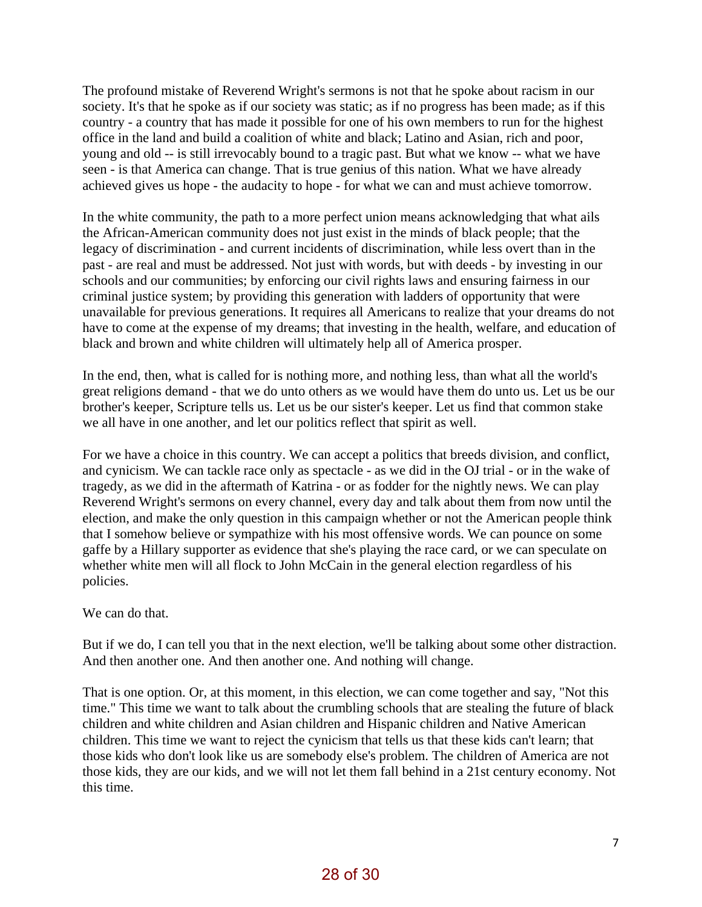The profound mistake of Reverend Wright's sermons is not that he spoke about racism in our society. It's that he spoke as if our society was static; as if no progress has been made; as if this country - a country that has made it possible for one of his own members to run for the highest office in the land and build a coalition of white and black; Latino and Asian, rich and poor, young and old -- is still irrevocably bound to a tragic past. But what we know -- what we have seen - is that America can change. That is true genius of this nation. What we have already achieved gives us hope - the audacity to hope - for what we can and must achieve tomorrow.

In the white community, the path to a more perfect union means acknowledging that what ails the African-American community does not just exist in the minds of black people; that the legacy of discrimination - and current incidents of discrimination, while less overt than in the past - are real and must be addressed. Not just with words, but with deeds - by investing in our schools and our communities; by enforcing our civil rights laws and ensuring fairness in our criminal justice system; by providing this generation with ladders of opportunity that were unavailable for previous generations. It requires all Americans to realize that your dreams do not have to come at the expense of my dreams; that investing in the health, welfare, and education of black and brown and white children will ultimately help all of America prosper.

In the end, then, what is called for is nothing more, and nothing less, than what all the world's great religions demand - that we do unto others as we would have them do unto us. Let us be our brother's keeper, Scripture tells us. Let us be our sister's keeper. Let us find that common stake we all have in one another, and let our politics reflect that spirit as well.

For we have a choice in this country. We can accept a politics that breeds division, and conflict, and cynicism. We can tackle race only as spectacle - as we did in the OJ trial - or in the wake of tragedy, as we did in the aftermath of Katrina - or as fodder for the nightly news. We can play Reverend Wright's sermons on every channel, every day and talk about them from now until the election, and make the only question in this campaign whether or not the American people think that I somehow believe or sympathize with his most offensive words. We can pounce on some gaffe by a Hillary supporter as evidence that she's playing the race card, or we can speculate on whether white men will all flock to John McCain in the general election regardless of his policies.

#### We can do that.

But if we do, I can tell you that in the next election, we'll be talking about some other distraction. And then another one. And then another one. And nothing will change.

That is one option. Or, at this moment, in this election, we can come together and say, "Not this time." This time we want to talk about the crumbling schools that are stealing the future of black children and white children and Asian children and Hispanic children and Native American children. This time we want to reject the cynicism that tells us that these kids can't learn; that those kids who don't look like us are somebody else's problem. The children of America are not those kids, they are our kids, and we will not let them fall behind in a 21st century economy. Not this time.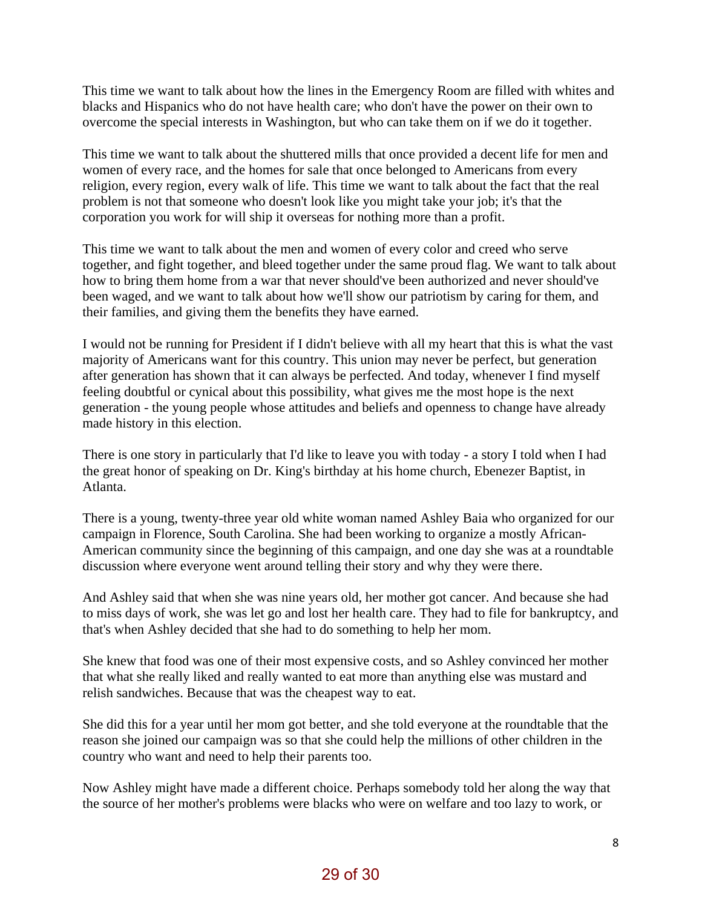This time we want to talk about how the lines in the Emergency Room are filled with whites and blacks and Hispanics who do not have health care; who don't have the power on their own to overcome the special interests in Washington, but who can take them on if we do it together.

This time we want to talk about the shuttered mills that once provided a decent life for men and women of every race, and the homes for sale that once belonged to Americans from every religion, every region, every walk of life. This time we want to talk about the fact that the real problem is not that someone who doesn't look like you might take your job; it's that the corporation you work for will ship it overseas for nothing more than a profit.

This time we want to talk about the men and women of every color and creed who serve together, and fight together, and bleed together under the same proud flag. We want to talk about how to bring them home from a war that never should've been authorized and never should've been waged, and we want to talk about how we'll show our patriotism by caring for them, and their families, and giving them the benefits they have earned.

I would not be running for President if I didn't believe with all my heart that this is what the vast majority of Americans want for this country. This union may never be perfect, but generation after generation has shown that it can always be perfected. And today, whenever I find myself feeling doubtful or cynical about this possibility, what gives me the most hope is the next generation - the young people whose attitudes and beliefs and openness to change have already made history in this election.

There is one story in particularly that I'd like to leave you with today - a story I told when I had the great honor of speaking on Dr. King's birthday at his home church, Ebenezer Baptist, in Atlanta.

There is a young, twenty-three year old white woman named Ashley Baia who organized for our campaign in Florence, South Carolina. She had been working to organize a mostly African-American community since the beginning of this campaign, and one day she was at a roundtable discussion where everyone went around telling their story and why they were there.

And Ashley said that when she was nine years old, her mother got cancer. And because she had to miss days of work, she was let go and lost her health care. They had to file for bankruptcy, and that's when Ashley decided that she had to do something to help her mom.

She knew that food was one of their most expensive costs, and so Ashley convinced her mother that what she really liked and really wanted to eat more than anything else was mustard and relish sandwiches. Because that was the cheapest way to eat.

She did this for a year until her mom got better, and she told everyone at the roundtable that the reason she joined our campaign was so that she could help the millions of other children in the country who want and need to help their parents too.

Now Ashley might have made a different choice. Perhaps somebody told her along the way that the source of her mother's problems were blacks who were on welfare and too lazy to work, or

#### 29 of 30